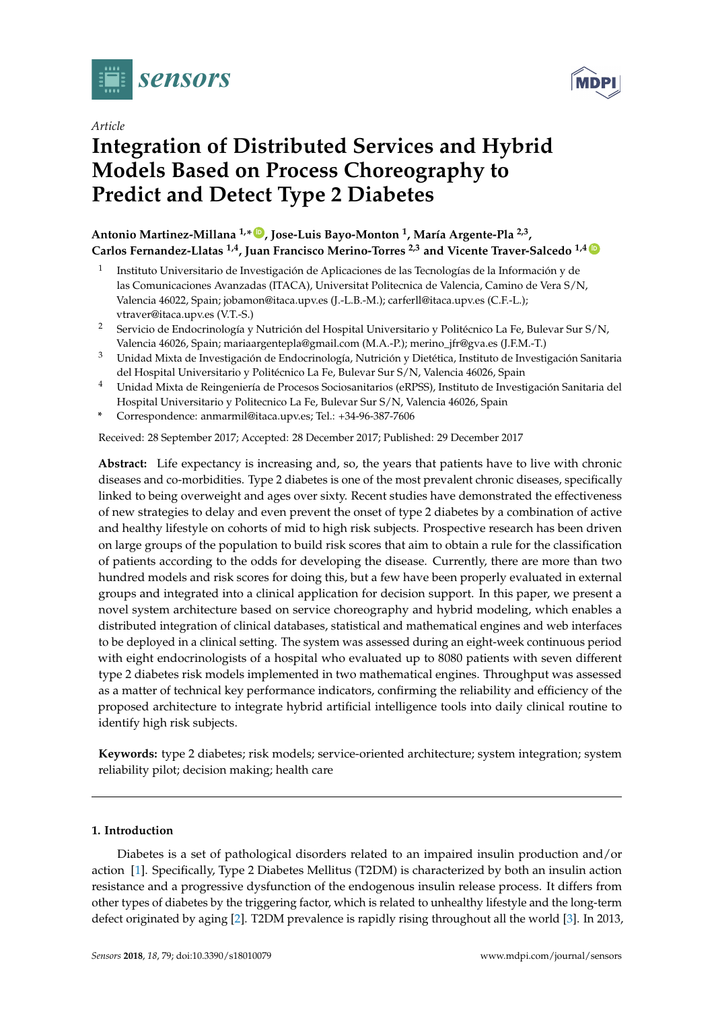





# **Integration of Distributed Services and Hybrid Models Based on Process Choreography to Predict and Detect Type 2 Diabetes**

# **Antonio Martinez-Millana 1,\* [ID](https://orcid.org/0000-0003-1056-5067) , Jose-Luis Bayo-Monton <sup>1</sup> , María Argente-Pla 2,3 , Carlos Fernandez-Llatas 1,4, Juan Francisco Merino-Torres 2,3 and Vicente Traver-Salcedo 1,4 [ID](https://orcid.org/0000-0003-1806-8575)**

- 1 Instituto Universitario de Investigación de Aplicaciones de las Tecnologías de la Información y de las Comunicaciones Avanzadas (ITACA), Universitat Politecnica de Valencia, Camino de Vera S/N, Valencia 46022, Spain; jobamon@itaca.upv.es (J.-L.B.-M.); carferll@itaca.upv.es (C.F.-L.); vtraver@itaca.upv.es (V.T.-S.)
- <sup>2</sup> Servicio de Endocrinología y Nutrición del Hospital Universitario y Politécnico La Fe, Bulevar Sur S/N, Valencia 46026, Spain; mariaargentepla@gmail.com (M.A.-P.); merino\_jfr@gva.es (J.F.M.-T.)
- <sup>3</sup> Unidad Mixta de Investigación de Endocrinología, Nutrición y Dietética, Instituto de Investigación Sanitaria del Hospital Universitario y Politécnico La Fe, Bulevar Sur S/N, Valencia 46026, Spain
- <sup>4</sup> Unidad Mixta de Reingeniería de Procesos Sociosanitarios (eRPSS), Instituto de Investigación Sanitaria del Hospital Universitario y Politecnico La Fe, Bulevar Sur S/N, Valencia 46026, Spain
- **\*** Correspondence: anmarmil@itaca.upv.es; Tel.: +34-96-387-7606

Received: 28 September 2017; Accepted: 28 December 2017; Published: 29 December 2017

**Abstract:** Life expectancy is increasing and, so, the years that patients have to live with chronic diseases and co-morbidities. Type 2 diabetes is one of the most prevalent chronic diseases, specifically linked to being overweight and ages over sixty. Recent studies have demonstrated the effectiveness of new strategies to delay and even prevent the onset of type 2 diabetes by a combination of active and healthy lifestyle on cohorts of mid to high risk subjects. Prospective research has been driven on large groups of the population to build risk scores that aim to obtain a rule for the classification of patients according to the odds for developing the disease. Currently, there are more than two hundred models and risk scores for doing this, but a few have been properly evaluated in external groups and integrated into a clinical application for decision support. In this paper, we present a novel system architecture based on service choreography and hybrid modeling, which enables a distributed integration of clinical databases, statistical and mathematical engines and web interfaces to be deployed in a clinical setting. The system was assessed during an eight-week continuous period with eight endocrinologists of a hospital who evaluated up to 8080 patients with seven different type 2 diabetes risk models implemented in two mathematical engines. Throughput was assessed as a matter of technical key performance indicators, confirming the reliability and efficiency of the proposed architecture to integrate hybrid artificial intelligence tools into daily clinical routine to identify high risk subjects.

**Keywords:** type 2 diabetes; risk models; service-oriented architecture; system integration; system reliability pilot; decision making; health care

# **1. Introduction**

Diabetes is a set of pathological disorders related to an impaired insulin production and/or action [\[1\]](#page-23-0). Specifically, Type 2 Diabetes Mellitus (T2DM) is characterized by both an insulin action resistance and a progressive dysfunction of the endogenous insulin release process. It differs from other types of diabetes by the triggering factor, which is related to unhealthy lifestyle and the long-term defect originated by aging [\[2\]](#page-23-1). T2DM prevalence is rapidly rising throughout all the world [\[3\]](#page-23-2). In 2013,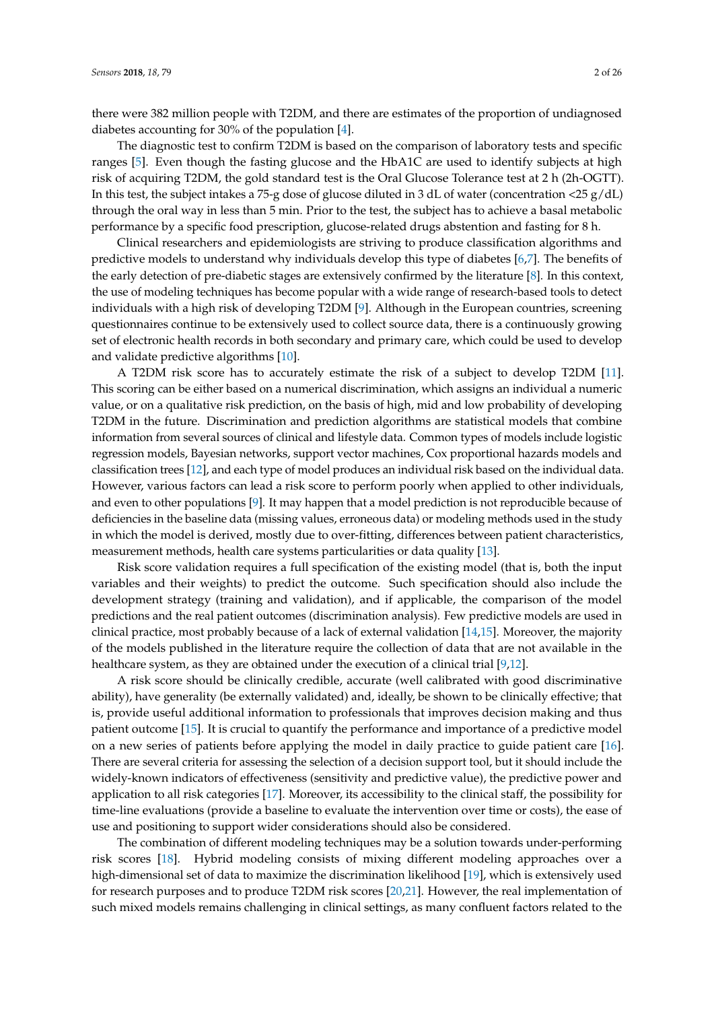there were 382 million people with T2DM, and there are estimates of the proportion of undiagnosed diabetes accounting for 30% of the population [\[4\]](#page-23-3).

The diagnostic test to confirm T2DM is based on the comparison of laboratory tests and specific ranges [\[5\]](#page-23-4). Even though the fasting glucose and the HbA1C are used to identify subjects at high risk of acquiring T2DM, the gold standard test is the Oral Glucose Tolerance test at 2 h (2h-OGTT). In this test, the subject intakes a 75-g dose of glucose diluted in 3 dL of water (concentration <25 g/dL) through the oral way in less than 5 min. Prior to the test, the subject has to achieve a basal metabolic performance by a specific food prescription, glucose-related drugs abstention and fasting for 8 h.

Clinical researchers and epidemiologists are striving to produce classification algorithms and predictive models to understand why individuals develop this type of diabetes [\[6,](#page-23-5)[7\]](#page-23-6). The benefits of the early detection of pre-diabetic stages are extensively confirmed by the literature [\[8\]](#page-23-7). In this context, the use of modeling techniques has become popular with a wide range of research-based tools to detect individuals with a high risk of developing T2DM [\[9\]](#page-23-8). Although in the European countries, screening questionnaires continue to be extensively used to collect source data, there is a continuously growing set of electronic health records in both secondary and primary care, which could be used to develop and validate predictive algorithms [\[10\]](#page-23-9).

A T2DM risk score has to accurately estimate the risk of a subject to develop T2DM [\[11\]](#page-23-10). This scoring can be either based on a numerical discrimination, which assigns an individual a numeric value, or on a qualitative risk prediction, on the basis of high, mid and low probability of developing T2DM in the future. Discrimination and prediction algorithms are statistical models that combine information from several sources of clinical and lifestyle data. Common types of models include logistic regression models, Bayesian networks, support vector machines, Cox proportional hazards models and classification trees [\[12\]](#page-23-11), and each type of model produces an individual risk based on the individual data. However, various factors can lead a risk score to perform poorly when applied to other individuals, and even to other populations [\[9\]](#page-23-8). It may happen that a model prediction is not reproducible because of deficiencies in the baseline data (missing values, erroneous data) or modeling methods used in the study in which the model is derived, mostly due to over-fitting, differences between patient characteristics, measurement methods, health care systems particularities or data quality [\[13\]](#page-23-12).

Risk score validation requires a full specification of the existing model (that is, both the input variables and their weights) to predict the outcome. Such specification should also include the development strategy (training and validation), and if applicable, the comparison of the model predictions and the real patient outcomes (discrimination analysis). Few predictive models are used in clinical practice, most probably because of a lack of external validation [\[14](#page-23-13)[,15\]](#page-23-14). Moreover, the majority of the models published in the literature require the collection of data that are not available in the healthcare system, as they are obtained under the execution of a clinical trial [\[9,](#page-23-8)[12\]](#page-23-11).

A risk score should be clinically credible, accurate (well calibrated with good discriminative ability), have generality (be externally validated) and, ideally, be shown to be clinically effective; that is, provide useful additional information to professionals that improves decision making and thus patient outcome [\[15\]](#page-23-14). It is crucial to quantify the performance and importance of a predictive model on a new series of patients before applying the model in daily practice to guide patient care [\[16\]](#page-23-15). There are several criteria for assessing the selection of a decision support tool, but it should include the widely-known indicators of effectiveness (sensitivity and predictive value), the predictive power and application to all risk categories [\[17\]](#page-23-16). Moreover, its accessibility to the clinical staff, the possibility for time-line evaluations (provide a baseline to evaluate the intervention over time or costs), the ease of use and positioning to support wider considerations should also be considered.

The combination of different modeling techniques may be a solution towards under-performing risk scores [\[18\]](#page-24-0). Hybrid modeling consists of mixing different modeling approaches over a high-dimensional set of data to maximize the discrimination likelihood [\[19\]](#page-24-1), which is extensively used for research purposes and to produce T2DM risk scores [\[20](#page-24-2)[,21\]](#page-24-3). However, the real implementation of such mixed models remains challenging in clinical settings, as many confluent factors related to the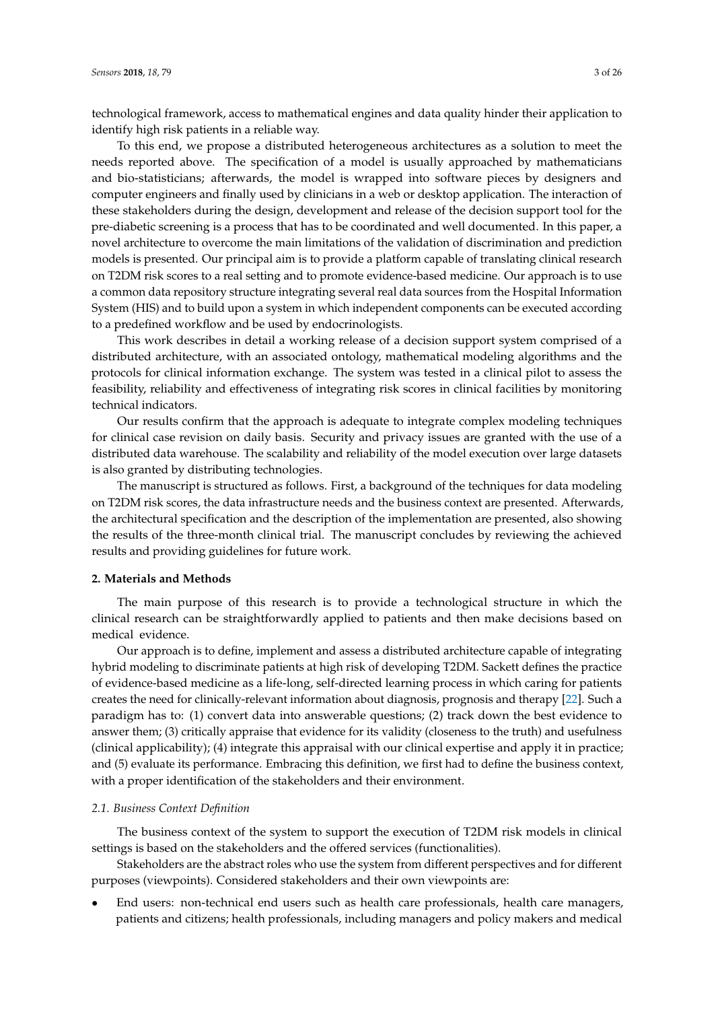technological framework, access to mathematical engines and data quality hinder their application to identify high risk patients in a reliable way.

To this end, we propose a distributed heterogeneous architectures as a solution to meet the needs reported above. The specification of a model is usually approached by mathematicians and bio-statisticians; afterwards, the model is wrapped into software pieces by designers and computer engineers and finally used by clinicians in a web or desktop application. The interaction of these stakeholders during the design, development and release of the decision support tool for the pre-diabetic screening is a process that has to be coordinated and well documented. In this paper, a novel architecture to overcome the main limitations of the validation of discrimination and prediction models is presented. Our principal aim is to provide a platform capable of translating clinical research on T2DM risk scores to a real setting and to promote evidence-based medicine. Our approach is to use a common data repository structure integrating several real data sources from the Hospital Information System (HIS) and to build upon a system in which independent components can be executed according to a predefined workflow and be used by endocrinologists.

This work describes in detail a working release of a decision support system comprised of a distributed architecture, with an associated ontology, mathematical modeling algorithms and the protocols for clinical information exchange. The system was tested in a clinical pilot to assess the feasibility, reliability and effectiveness of integrating risk scores in clinical facilities by monitoring technical indicators.

Our results confirm that the approach is adequate to integrate complex modeling techniques for clinical case revision on daily basis. Security and privacy issues are granted with the use of a distributed data warehouse. The scalability and reliability of the model execution over large datasets is also granted by distributing technologies.

The manuscript is structured as follows. First, a background of the techniques for data modeling on T2DM risk scores, the data infrastructure needs and the business context are presented. Afterwards, the architectural specification and the description of the implementation are presented, also showing the results of the three-month clinical trial. The manuscript concludes by reviewing the achieved results and providing guidelines for future work.

# **2. Materials and Methods**

The main purpose of this research is to provide a technological structure in which the clinical research can be straightforwardly applied to patients and then make decisions based on medical evidence.

Our approach is to define, implement and assess a distributed architecture capable of integrating hybrid modeling to discriminate patients at high risk of developing T2DM. Sackett defines the practice of evidence-based medicine as a life-long, self-directed learning process in which caring for patients creates the need for clinically-relevant information about diagnosis, prognosis and therapy [\[22\]](#page-24-4). Such a paradigm has to: (1) convert data into answerable questions; (2) track down the best evidence to answer them; (3) critically appraise that evidence for its validity (closeness to the truth) and usefulness (clinical applicability); (4) integrate this appraisal with our clinical expertise and apply it in practice; and (5) evaluate its performance. Embracing this definition, we first had to define the business context, with a proper identification of the stakeholders and their environment.

# *2.1. Business Context Definition*

The business context of the system to support the execution of T2DM risk models in clinical settings is based on the stakeholders and the offered services (functionalities).

Stakeholders are the abstract roles who use the system from different perspectives and for different purposes (viewpoints). Considered stakeholders and their own viewpoints are:

• End users: non-technical end users such as health care professionals, health care managers, patients and citizens; health professionals, including managers and policy makers and medical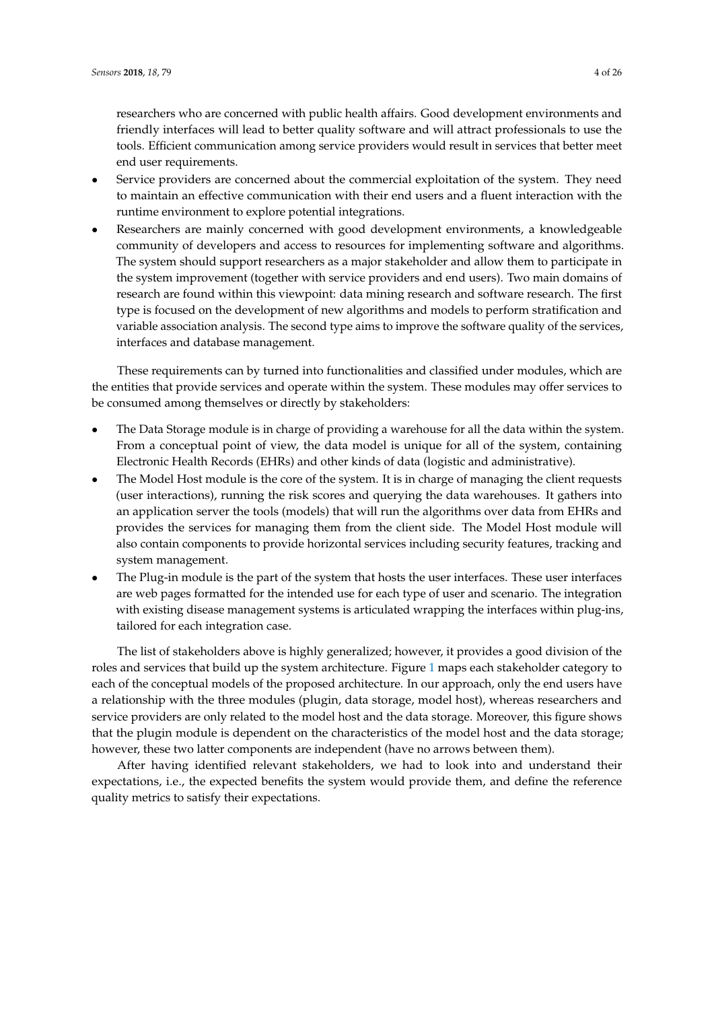researchers who are concerned with public health affairs. Good development environments and friendly interfaces will lead to better quality software and will attract professionals to use the tools. Efficient communication among service providers would result in services that better meet end user requirements.

- Service providers are concerned about the commercial exploitation of the system. They need to maintain an effective communication with their end users and a fluent interaction with the runtime environment to explore potential integrations.
- Researchers are mainly concerned with good development environments, a knowledgeable community of developers and access to resources for implementing software and algorithms. The system should support researchers as a major stakeholder and allow them to participate in the system improvement (together with service providers and end users). Two main domains of research are found within this viewpoint: data mining research and software research. The first type is focused on the development of new algorithms and models to perform stratification and variable association analysis. The second type aims to improve the software quality of the services, interfaces and database management.

These requirements can by turned into functionalities and classified under modules, which are the entities that provide services and operate within the system. These modules may offer services to be consumed among themselves or directly by stakeholders:

- The Data Storage module is in charge of providing a warehouse for all the data within the system. From a conceptual point of view, the data model is unique for all of the system, containing Electronic Health Records (EHRs) and other kinds of data (logistic and administrative).
- The Model Host module is the core of the system. It is in charge of managing the client requests (user interactions), running the risk scores and querying the data warehouses. It gathers into an application server the tools (models) that will run the algorithms over data from EHRs and provides the services for managing them from the client side. The Model Host module will also contain components to provide horizontal services including security features, tracking and system management.
- The Plug-in module is the part of the system that hosts the user interfaces. These user interfaces are web pages formatted for the intended use for each type of user and scenario. The integration with existing disease management systems is articulated wrapping the interfaces within plug-ins, tailored for each integration case.

The list of stakeholders above is highly generalized; however, it provides a good division of the roles and services that build up the system architecture. Figure [1](#page-4-0) maps each stakeholder category to each of the conceptual models of the proposed architecture. In our approach, only the end users have a relationship with the three modules (plugin, data storage, model host), whereas researchers and service providers are only related to the model host and the data storage. Moreover, this figure shows that the plugin module is dependent on the characteristics of the model host and the data storage; however, these two latter components are independent (have no arrows between them).

After having identified relevant stakeholders, we had to look into and understand their expectations, i.e., the expected benefits the system would provide them, and define the reference quality metrics to satisfy their expectations.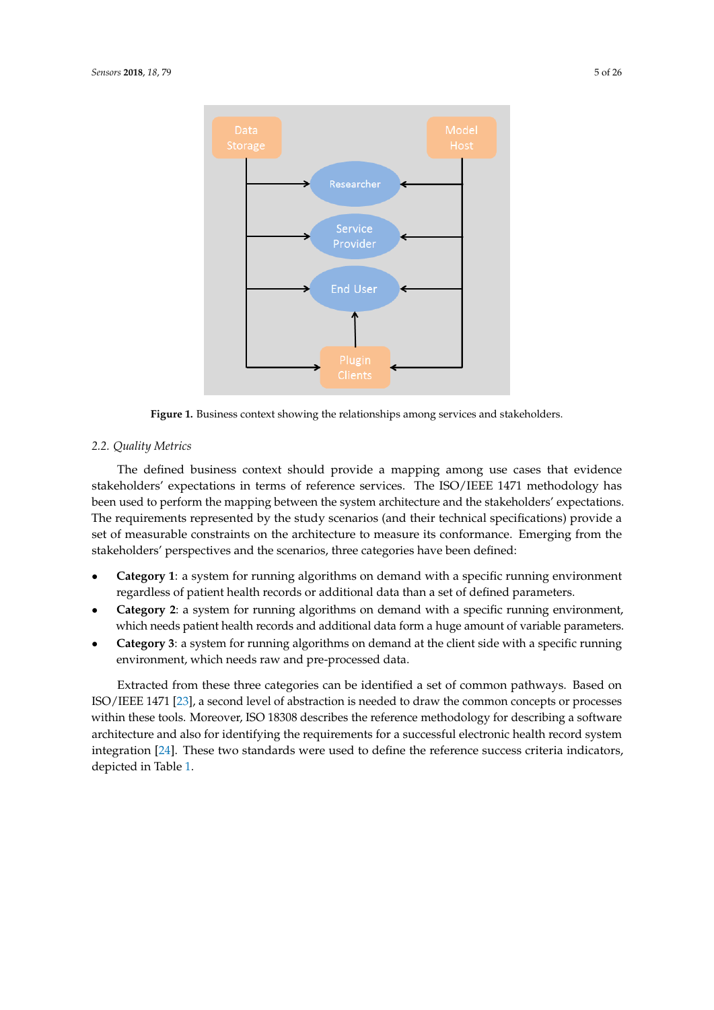<span id="page-4-0"></span>

**Figure 1.** Business context showing the relationships among services and stakeholders.

# *2.2. Quality Metrics*

The defined business context should provide a mapping among use cases that evidence stakeholders' expectations in terms of reference services. The ISO/IEEE 1471 methodology has been used to perform the mapping between the system architecture and the stakeholders' expectations. The requirements represented by the study scenarios (and their technical specifications) provide a set of measurable constraints on the architecture to measure its conformance. Emerging from the stakeholders' perspectives and the scenarios, three categories have been defined:

- **Category 1**: a system for running algorithms on demand with a specific running environment regardless of patient health records or additional data than a set of defined parameters.
- **Category 2**: a system for running algorithms on demand with a specific running environment, which needs patient health records and additional data form a huge amount of variable parameters.
- **Category 3**: a system for running algorithms on demand at the client side with a specific running environment, which needs raw and pre-processed data.

Extracted from these three categories can be identified a set of common pathways. Based on ISO/IEEE 1471 [\[23\]](#page-24-5), a second level of abstraction is needed to draw the common concepts or processes within these tools. Moreover, ISO 18308 describes the reference methodology for describing a software architecture and also for identifying the requirements for a successful electronic health record system integration [\[24\]](#page-24-6). These two standards were used to define the reference success criteria indicators, depicted in Table [1.](#page-5-0)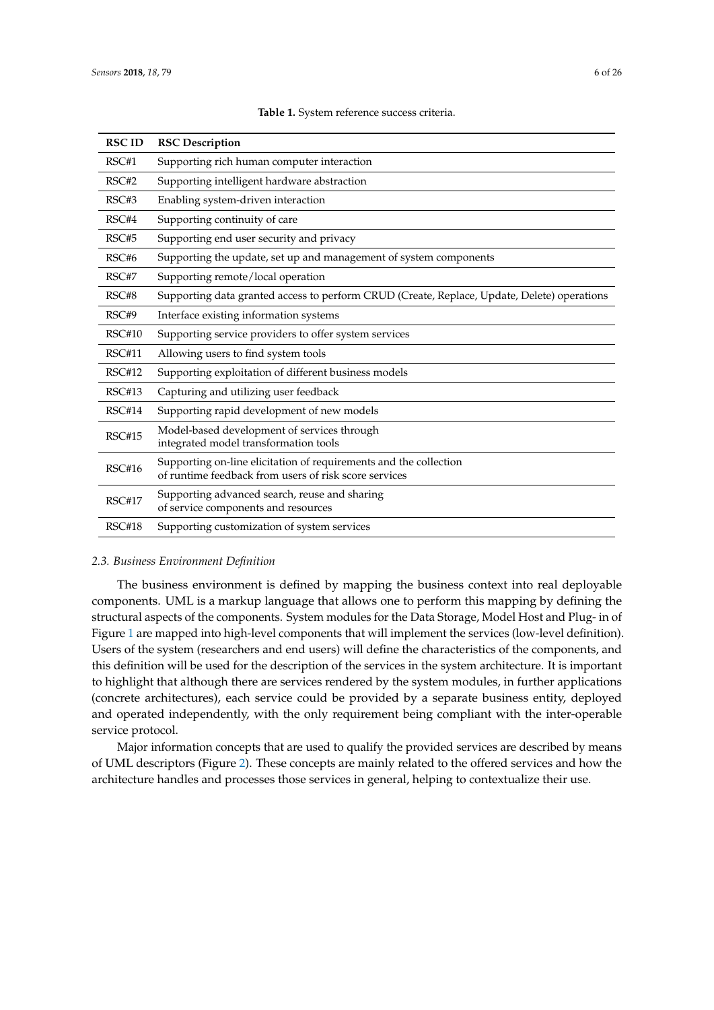<span id="page-5-0"></span>

| <b>RSCID</b>  | <b>RSC Description</b>                                                                                                     |
|---------------|----------------------------------------------------------------------------------------------------------------------------|
| RSC#1         | Supporting rich human computer interaction                                                                                 |
| RSC#2         | Supporting intelligent hardware abstraction                                                                                |
| RSC#3         | Enabling system-driven interaction                                                                                         |
| RSC#4         | Supporting continuity of care                                                                                              |
| RSC#5         | Supporting end user security and privacy                                                                                   |
| RSC#6         | Supporting the update, set up and management of system components                                                          |
| RSC#7         | Supporting remote/local operation                                                                                          |
| RSC#8         | Supporting data granted access to perform CRUD (Create, Replace, Update, Delete) operations                                |
| RSC#9         | Interface existing information systems                                                                                     |
| <b>RSC#10</b> | Supporting service providers to offer system services                                                                      |
| RSC#11        | Allowing users to find system tools                                                                                        |
| <b>RSC#12</b> | Supporting exploitation of different business models                                                                       |
| RSC#13        | Capturing and utilizing user feedback                                                                                      |
| RSC#14        | Supporting rapid development of new models                                                                                 |
| <b>RSC#15</b> | Model-based development of services through<br>integrated model transformation tools                                       |
| <b>RSC#16</b> | Supporting on-line elicitation of requirements and the collection<br>of runtime feedback from users of risk score services |
| <b>RSC#17</b> | Supporting advanced search, reuse and sharing<br>of service components and resources                                       |
| RSC#18        | Supporting customization of system services                                                                                |

**Table 1.** System reference success criteria.

#### *2.3. Business Environment Definition*

The business environment is defined by mapping the business context into real deployable components. UML is a markup language that allows one to perform this mapping by defining the structural aspects of the components. System modules for the Data Storage, Model Host and Plug- in of Figure [1](#page-4-0) are mapped into high-level components that will implement the services (low-level definition). Users of the system (researchers and end users) will define the characteristics of the components, and this definition will be used for the description of the services in the system architecture. It is important to highlight that although there are services rendered by the system modules, in further applications (concrete architectures), each service could be provided by a separate business entity, deployed and operated independently, with the only requirement being compliant with the inter-operable service protocol.

Major information concepts that are used to qualify the provided services are described by means of UML descriptors (Figure [2\)](#page-6-0). These concepts are mainly related to the offered services and how the architecture handles and processes those services in general, helping to contextualize their use.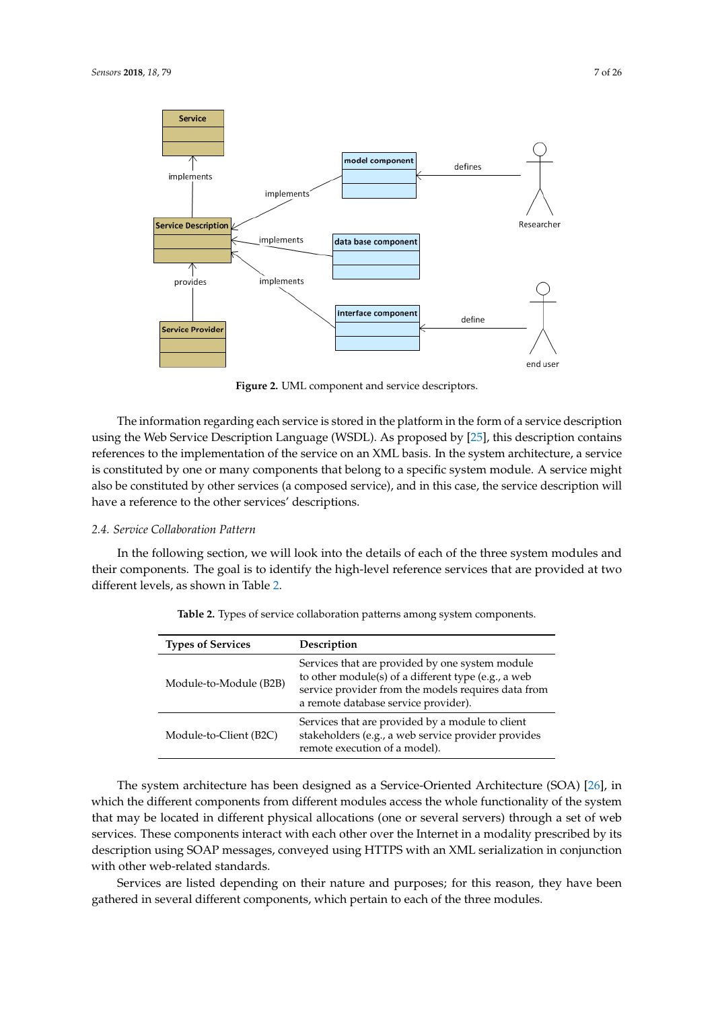<span id="page-6-0"></span>

**Figure 2.** UML component and service descriptors.

The information regarding each service is stored in the platform in the form of a service description using the Web Service Description Language (WSDL). As proposed by [\[25\]](#page-24-7), this description contains references to the implementation of the service on an XML basis. In the system architecture, a service is constituted by one or many components that belong to a specific system module. A service might also be constituted by other services (a composed service), and in this case, the service description will have a reference to the other services' descriptions.

#### *2.4. Service Collaboration Pattern*

<span id="page-6-1"></span>In the following section, we will look into the details of each of the three system modules and their components. The goal is to identify the high-level reference services that are provided at two different levels, as shown in Table [2.](#page-6-1)

| <b>Types of Services</b> | Description                                                                                                                                                                                           |
|--------------------------|-------------------------------------------------------------------------------------------------------------------------------------------------------------------------------------------------------|
| Module-to-Module (B2B)   | Services that are provided by one system module<br>to other module(s) of a different type (e.g., a web<br>service provider from the models requires data from<br>a remote database service provider). |
| Module-to-Client (B2C)   | Services that are provided by a module to client<br>stakeholders (e.g., a web service provider provides<br>remote execution of a model).                                                              |

**Table 2.** Types of service collaboration patterns among system components.

The system architecture has been designed as a Service-Oriented Architecture (SOA) [\[26\]](#page-24-8), in which the different components from different modules access the whole functionality of the system that may be located in different physical allocations (one or several servers) through a set of web services. These components interact with each other over the Internet in a modality prescribed by its description using SOAP messages, conveyed using HTTPS with an XML serialization in conjunction with other web-related standards.

Services are listed depending on their nature and purposes; for this reason, they have been gathered in several different components, which pertain to each of the three modules.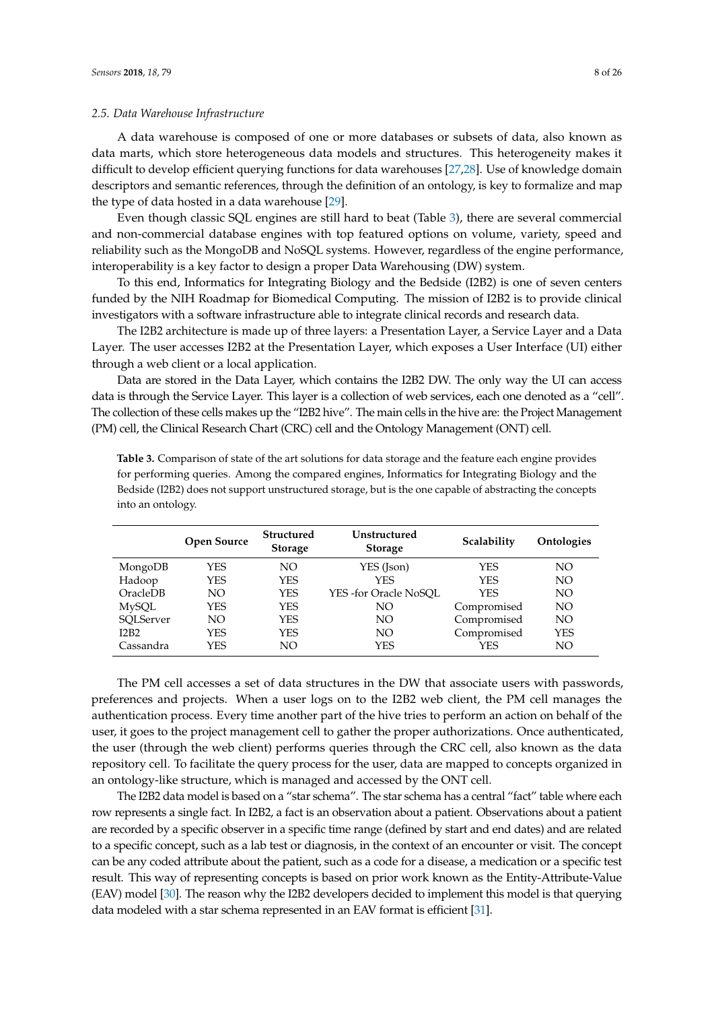# *2.5. Data Warehouse Infrastructure*

A data warehouse is composed of one or more databases or subsets of data, also known as data marts, which store heterogeneous data models and structures. This heterogeneity makes it difficult to develop efficient querying functions for data warehouses [\[27](#page-24-9)[,28\]](#page-24-10). Use of knowledge domain descriptors and semantic references, through the definition of an ontology, is key to formalize and map the type of data hosted in a data warehouse [\[29\]](#page-24-11).

Even though classic SQL engines are still hard to beat (Table [3\)](#page-7-0), there are several commercial and non-commercial database engines with top featured options on volume, variety, speed and reliability such as the MongoDB and NoSQL systems. However, regardless of the engine performance, interoperability is a key factor to design a proper Data Warehousing (DW) system.

To this end, Informatics for Integrating Biology and the Bedside (I2B2) is one of seven centers funded by the NIH Roadmap for Biomedical Computing. The mission of I2B2 is to provide clinical investigators with a software infrastructure able to integrate clinical records and research data.

The I2B2 architecture is made up of three layers: a Presentation Layer, a Service Layer and a Data Layer. The user accesses I2B2 at the Presentation Layer, which exposes a User Interface (UI) either through a web client or a local application.

Data are stored in the Data Layer, which contains the I2B2 DW. The only way the UI can access data is through the Service Layer. This layer is a collection of web services, each one denoted as a "cell". The collection of these cells makes up the "I2B2 hive". The main cells in the hive are: the Project Management (PM) cell, the Clinical Research Chart (CRC) cell and the Ontology Management (ONT) cell.

|              | <b>Open Source</b> | <b>Structured</b><br><b>Storage</b> | Unstructured<br><b>Storage</b> | Scalability | Ontologies |
|--------------|--------------------|-------------------------------------|--------------------------------|-------------|------------|
| MongoDB      | YES                | NO.                                 | YES (Json)                     | YES         | NΟ         |
| Hadoop       | YES                | <b>YES</b>                          | <b>YES</b>                     | <b>YES</b>  | NO         |
| OracleDB     | NO                 | <b>YES</b>                          | YES-for Oracle NoSOL           | YES         | NO         |
| <b>MySQL</b> | YES                | <b>YES</b>                          | NO                             | Compromised | NO         |
| SOLServer    | NO.                | <b>YES</b>                          | NO                             | Compromised | NΟ         |
| I2B2         | YES                | <b>YES</b>                          | NΟ                             | Compromised | <b>YES</b> |
| Cassandra    | YES                | NO.                                 | YES                            | YES         | NO         |

<span id="page-7-0"></span>**Table 3.** Comparison of state of the art solutions for data storage and the feature each engine provides for performing queries. Among the compared engines, Informatics for Integrating Biology and the Bedside (I2B2) does not support unstructured storage, but is the one capable of abstracting the concepts into an ontology.

The PM cell accesses a set of data structures in the DW that associate users with passwords, preferences and projects. When a user logs on to the I2B2 web client, the PM cell manages the authentication process. Every time another part of the hive tries to perform an action on behalf of the user, it goes to the project management cell to gather the proper authorizations. Once authenticated, the user (through the web client) performs queries through the CRC cell, also known as the data repository cell. To facilitate the query process for the user, data are mapped to concepts organized in an ontology-like structure, which is managed and accessed by the ONT cell.

The I2B2 data model is based on a "star schema". The star schema has a central "fact" table where each row represents a single fact. In I2B2, a fact is an observation about a patient. Observations about a patient are recorded by a specific observer in a specific time range (defined by start and end dates) and are related to a specific concept, such as a lab test or diagnosis, in the context of an encounter or visit. The concept can be any coded attribute about the patient, such as a code for a disease, a medication or a specific test result. This way of representing concepts is based on prior work known as the Entity-Attribute-Value (EAV) model [\[30\]](#page-24-12). The reason why the I2B2 developers decided to implement this model is that querying data modeled with a star schema represented in an EAV format is efficient [\[31\]](#page-24-13).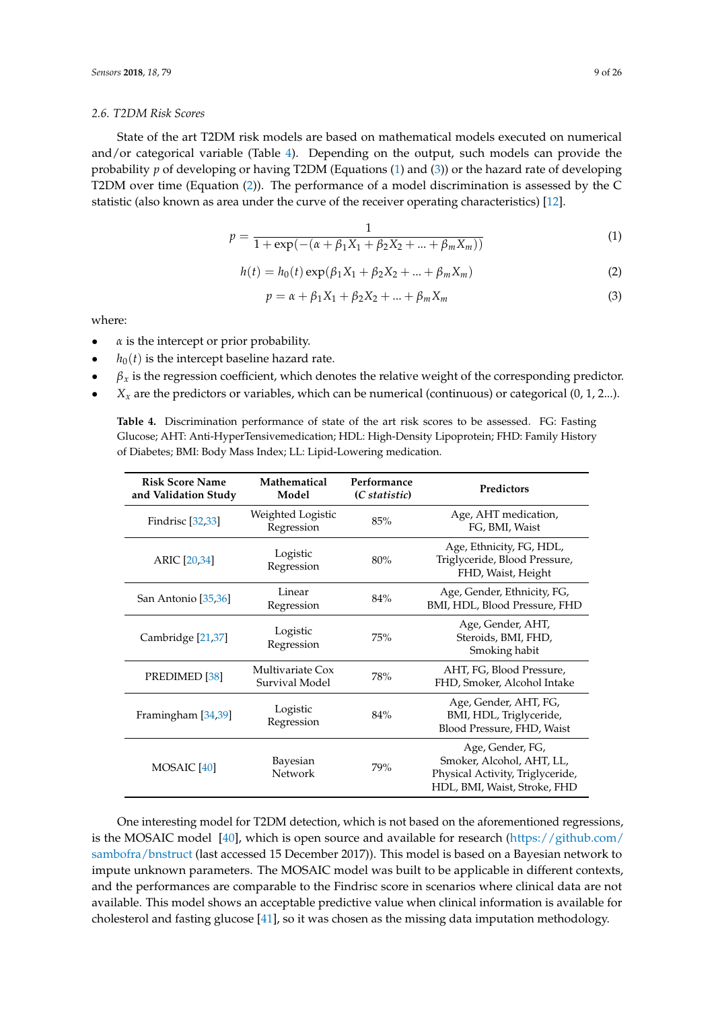# *2.6. T2DM Risk Scores*

State of the art T2DM risk models are based on mathematical models executed on numerical and/or categorical variable (Table [4\)](#page-8-0). Depending on the output, such models can provide the probability *p* of developing or having T2DM (Equations [\(1\)](#page-8-1) and [\(3\)](#page-8-2)) or the hazard rate of developing T2DM over time (Equation [\(2\)](#page-8-3)). The performance of a model discrimination is assessed by the C statistic (also known as area under the curve of the receiver operating characteristics) [\[12\]](#page-23-11).

<span id="page-8-1"></span>
$$
p = \frac{1}{1 + \exp(-( \alpha + \beta_1 X_1 + \beta_2 X_2 + \dots + \beta_m X_m))}
$$
(1)

<span id="page-8-3"></span>
$$
h(t) = h_0(t) \exp(\beta_1 X_1 + \beta_2 X_2 + \dots + \beta_m X_m)
$$
 (2)

<span id="page-8-2"></span>
$$
p = \alpha + \beta_1 X_1 + \beta_2 X_2 + \dots + \beta_m X_m
$$
 (3)

where:

- $\alpha$  is the intercept or prior probability.
- $h_0(t)$  is the intercept baseline hazard rate.
- $\beta_x$  is the regression coefficient, which denotes the relative weight of the corresponding predictor.
- <span id="page-8-0"></span> $X_x$  are the predictors or variables, which can be numerical (continuous) or categorical  $(0, 1, 2...)$ .

**Table 4.** Discrimination performance of state of the art risk scores to be assessed. FG: Fasting Glucose; AHT: Anti-HyperTensivemedication; HDL: High-Density Lipoprotein; FHD: Family History of Diabetes; BMI: Body Mass Index; LL: Lipid-Lowering medication.

| <b>Risk Score Name</b><br>and Validation Study | <b>Mathematical</b><br>Model       | Performance<br>(C statistic) | <b>Predictors</b>                                                                                                 |
|------------------------------------------------|------------------------------------|------------------------------|-------------------------------------------------------------------------------------------------------------------|
| <b>Findrisc</b> [32,33]                        | Weighted Logistic<br>Regression    |                              | Age, AHT medication,<br>FG, BMI, Waist                                                                            |
| ARIC [20,34]                                   | Logistic<br>Regression             | 80%                          | Age, Ethnicity, FG, HDL,<br>Triglyceride, Blood Pressure,<br>FHD, Waist, Height                                   |
| Linear<br>San Antonio [35,36]<br>Regression    |                                    | 84%                          | Age, Gender, Ethnicity, FG,<br>BMI, HDL, Blood Pressure, FHD                                                      |
| Cambridge [21,37]                              | Logistic<br>Regression             | 75%                          | Age, Gender, AHT,<br>Steroids, BMI, FHD,<br>Smoking habit                                                         |
| PREDIMED <sup>[38]</sup>                       | Multivariate Cox<br>Survival Model | 78%                          | AHT, FG, Blood Pressure,<br>FHD, Smoker, Alcohol Intake                                                           |
| Framingham [34,39]                             | Logistic<br>Regression             | 84%                          | Age, Gender, AHT, FG,<br>BMI, HDL, Triglyceride,<br>Blood Pressure, FHD, Waist                                    |
| MOSAIC <sup>[40]</sup>                         | Bayesian<br>Network                | 79%                          | Age, Gender, FG,<br>Smoker, Alcohol, AHT, LL,<br>Physical Activity, Triglyceride,<br>HDL, BMI, Waist, Stroke, FHD |

One interesting model for T2DM detection, which is not based on the aforementioned regressions, is the MOSAIC model  $[40]$ , which is open source and available for research [\(https://github.com/](https://github.com/sambofra/bnstruct) [sambofra/bnstruct](https://github.com/sambofra/bnstruct) (last accessed 15 December 2017)). This model is based on a Bayesian network to impute unknown parameters. The MOSAIC model was built to be applicable in different contexts, and the performances are comparable to the Findrisc score in scenarios where clinical data are not available. This model shows an acceptable predictive value when clinical information is available for cholesterol and fasting glucose [\[41\]](#page-25-1), so it was chosen as the missing data imputation methodology.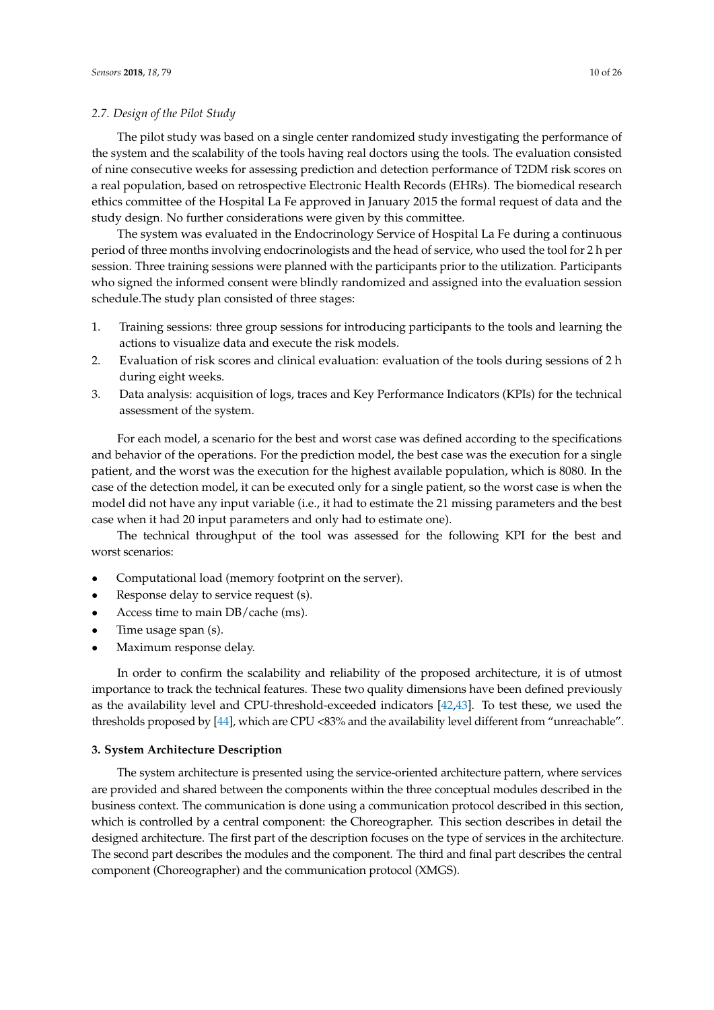# *2.7. Design of the Pilot Study*

The pilot study was based on a single center randomized study investigating the performance of the system and the scalability of the tools having real doctors using the tools. The evaluation consisted of nine consecutive weeks for assessing prediction and detection performance of T2DM risk scores on a real population, based on retrospective Electronic Health Records (EHRs). The biomedical research ethics committee of the Hospital La Fe approved in January 2015 the formal request of data and the study design. No further considerations were given by this committee.

The system was evaluated in the Endocrinology Service of Hospital La Fe during a continuous period of three months involving endocrinologists and the head of service, who used the tool for 2 h per session. Three training sessions were planned with the participants prior to the utilization. Participants who signed the informed consent were blindly randomized and assigned into the evaluation session schedule.The study plan consisted of three stages:

- 1. Training sessions: three group sessions for introducing participants to the tools and learning the actions to visualize data and execute the risk models.
- 2. Evaluation of risk scores and clinical evaluation: evaluation of the tools during sessions of 2 h during eight weeks.
- 3. Data analysis: acquisition of logs, traces and Key Performance Indicators (KPIs) for the technical assessment of the system.

For each model, a scenario for the best and worst case was defined according to the specifications and behavior of the operations. For the prediction model, the best case was the execution for a single patient, and the worst was the execution for the highest available population, which is 8080. In the case of the detection model, it can be executed only for a single patient, so the worst case is when the model did not have any input variable (i.e., it had to estimate the 21 missing parameters and the best case when it had 20 input parameters and only had to estimate one).

The technical throughput of the tool was assessed for the following KPI for the best and worst scenarios:

- Computational load (memory footprint on the server).
- Response delay to service request (s).
- Access time to main DB/cache (ms).
- Time usage span (s).
- Maximum response delay.

In order to confirm the scalability and reliability of the proposed architecture, it is of utmost importance to track the technical features. These two quality dimensions have been defined previously as the availability level and CPU-threshold-exceeded indicators [\[42](#page-25-2)[,43\]](#page-25-3). To test these, we used the thresholds proposed by [\[44\]](#page-25-4), which are CPU <83% and the availability level different from "unreachable".

#### **3. System Architecture Description**

The system architecture is presented using the service-oriented architecture pattern, where services are provided and shared between the components within the three conceptual modules described in the business context. The communication is done using a communication protocol described in this section, which is controlled by a central component: the Choreographer. This section describes in detail the designed architecture. The first part of the description focuses on the type of services in the architecture. The second part describes the modules and the component. The third and final part describes the central component (Choreographer) and the communication protocol (XMGS).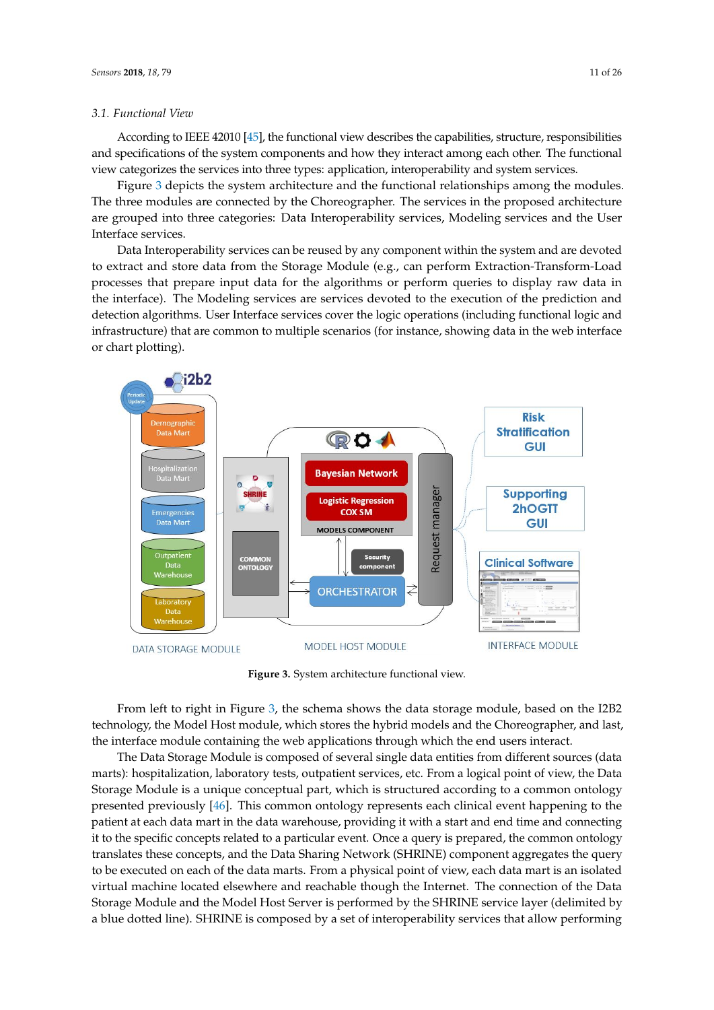#### *3.1. Functional View*

According to IEEE 42010 [\[45\]](#page-25-5), the functional view describes the capabilities, structure, responsibilities and specifications of the system components and how they interact among each other. The functional view categorizes the services into three types: application, interoperability and system services.

Figure [3](#page-10-0) depicts the system architecture and the functional relationships among the modules. The three modules are connected by the Choreographer. The services in the proposed architecture are grouped into three categories: Data Interoperability services, Modeling services and the User Interface services.

Data Interoperability services can be reused by any component within the system and are devoted to extract and store data from the Storage Module (e.g., can perform Extraction-Transform-Load processes that prepare input data for the algorithms or perform queries to display raw data in the interface). The Modeling services are services devoted to the execution of the prediction and detection algorithms. User Interface services cover the logic operations (including functional logic and infrastructure) that are common to multiple scenarios (for instance, showing data in the web interface or chart plotting).

<span id="page-10-0"></span>

**Figure 3.** System architecture functional view.

From left to right in Figure [3,](#page-10-0) the schema shows the data storage module, based on the I2B2 technology, the Model Host module, which stores the hybrid models and the Choreographer, and last, the interface module containing the web applications through which the end users interact.

The Data Storage Module is composed of several single data entities from different sources (data marts): hospitalization, laboratory tests, outpatient services, etc. From a logical point of view, the Data Storage Module is a unique conceptual part, which is structured according to a common ontology presented previously [\[46\]](#page-25-6). This common ontology represents each clinical event happening to the patient at each data mart in the data warehouse, providing it with a start and end time and connecting it to the specific concepts related to a particular event. Once a query is prepared, the common ontology translates these concepts, and the Data Sharing Network (SHRINE) component aggregates the query to be executed on each of the data marts. From a physical point of view, each data mart is an isolated virtual machine located elsewhere and reachable though the Internet. The connection of the Data Storage Module and the Model Host Server is performed by the SHRINE service layer (delimited by a blue dotted line). SHRINE is composed by a set of interoperability services that allow performing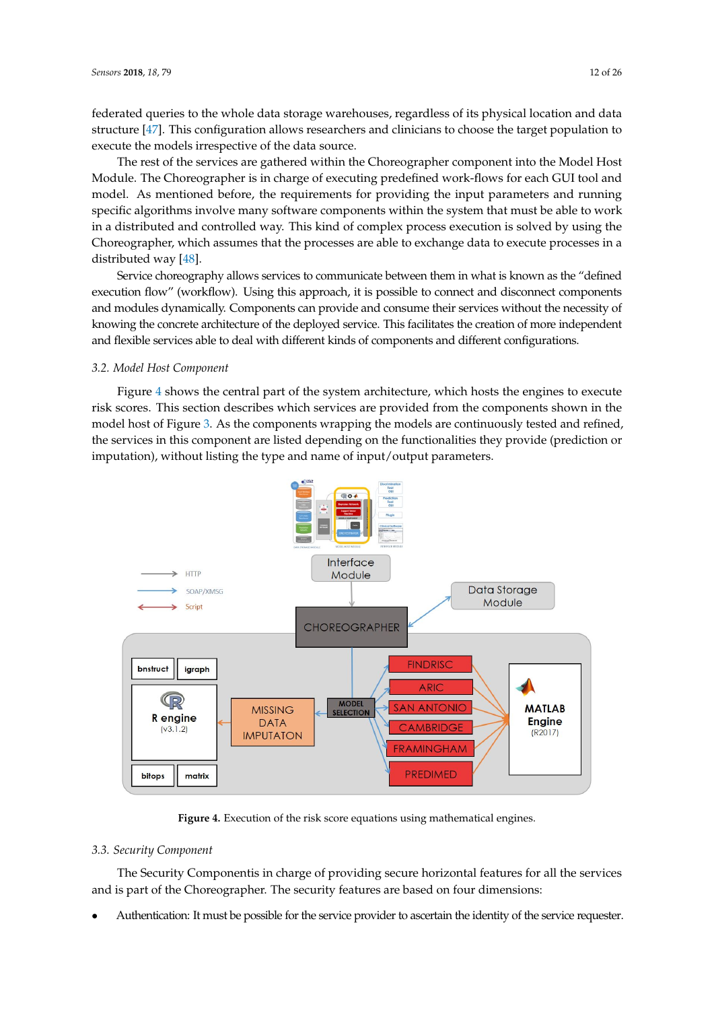federated queries to the whole data storage warehouses, regardless of its physical location and data structure [\[47\]](#page-25-7). This configuration allows researchers and clinicians to choose the target population to execute the models irrespective of the data source.

The rest of the services are gathered within the Choreographer component into the Model Host Module. The Choreographer is in charge of executing predefined work-flows for each GUI tool and model. As mentioned before, the requirements for providing the input parameters and running specific algorithms involve many software components within the system that must be able to work in a distributed and controlled way. This kind of complex process execution is solved by using the Choreographer, which assumes that the processes are able to exchange data to execute processes in a distributed way [\[48\]](#page-25-8).

Service choreography allows services to communicate between them in what is known as the "defined execution flow" (workflow). Using this approach, it is possible to connect and disconnect components and modules dynamically. Components can provide and consume their services without the necessity of knowing the concrete architecture of the deployed service. This facilitates the creation of more independent and flexible services able to deal with different kinds of components and different configurations.

#### *3.2. Model Host Component*

Figure [4](#page-11-0) shows the central part of the system architecture, which hosts the engines to execute risk scores. This section describes which services are provided from the components shown in the model host of Figure [3.](#page-10-0) As the components wrapping the models are continuously tested and refined, the services in this component are listed depending on the functionalities they provide (prediction or imputation), without listing the type and name of input/output parameters.

<span id="page-11-0"></span>

**Figure 4.** Execution of the risk score equations using mathematical engines.

# *3.3. Security Component*

The Security Componentis in charge of providing secure horizontal features for all the services and is part of the Choreographer. The security features are based on four dimensions:

• Authentication: It must be possible for the service provider to ascertain the identity of the service requester.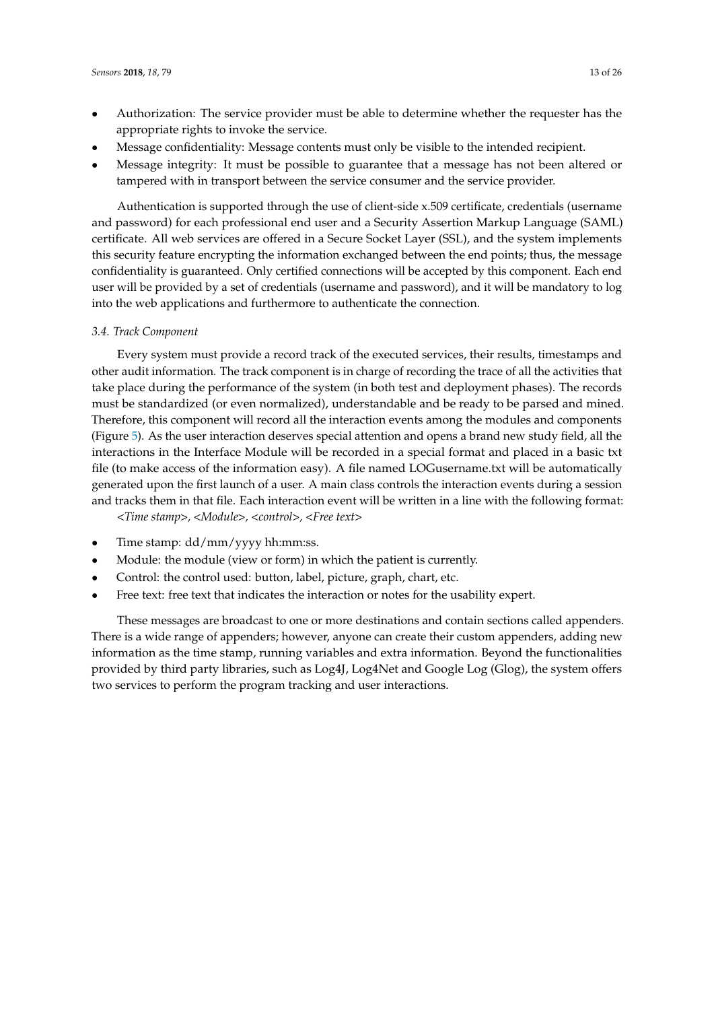- Authorization: The service provider must be able to determine whether the requester has the appropriate rights to invoke the service.
- Message confidentiality: Message contents must only be visible to the intended recipient.
- Message integrity: It must be possible to guarantee that a message has not been altered or tampered with in transport between the service consumer and the service provider.

Authentication is supported through the use of client-side x.509 certificate, credentials (username and password) for each professional end user and a Security Assertion Markup Language (SAML) certificate. All web services are offered in a Secure Socket Layer (SSL), and the system implements this security feature encrypting the information exchanged between the end points; thus, the message confidentiality is guaranteed. Only certified connections will be accepted by this component. Each end user will be provided by a set of credentials (username and password), and it will be mandatory to log into the web applications and furthermore to authenticate the connection.

# *3.4. Track Component*

Every system must provide a record track of the executed services, their results, timestamps and other audit information. The track component is in charge of recording the trace of all the activities that take place during the performance of the system (in both test and deployment phases). The records must be standardized (or even normalized), understandable and be ready to be parsed and mined. Therefore, this component will record all the interaction events among the modules and components (Figure [5\)](#page-13-0). As the user interaction deserves special attention and opens a brand new study field, all the interactions in the Interface Module will be recorded in a special format and placed in a basic txt file (to make access of the information easy). A file named LOGusername.txt will be automatically generated upon the first launch of a user. A main class controls the interaction events during a session and tracks them in that file. Each interaction event will be written in a line with the following format: *<Time stamp>, <Module>, <control>, <Free text>*

- Time stamp: dd/mm/yyyy hh:mm:ss.
- Module: the module (view or form) in which the patient is currently.
- Control: the control used: button, label, picture, graph, chart, etc.
- Free text: free text that indicates the interaction or notes for the usability expert.

These messages are broadcast to one or more destinations and contain sections called appenders. There is a wide range of appenders; however, anyone can create their custom appenders, adding new information as the time stamp, running variables and extra information. Beyond the functionalities provided by third party libraries, such as Log4J, Log4Net and Google Log (Glog), the system offers two services to perform the program tracking and user interactions.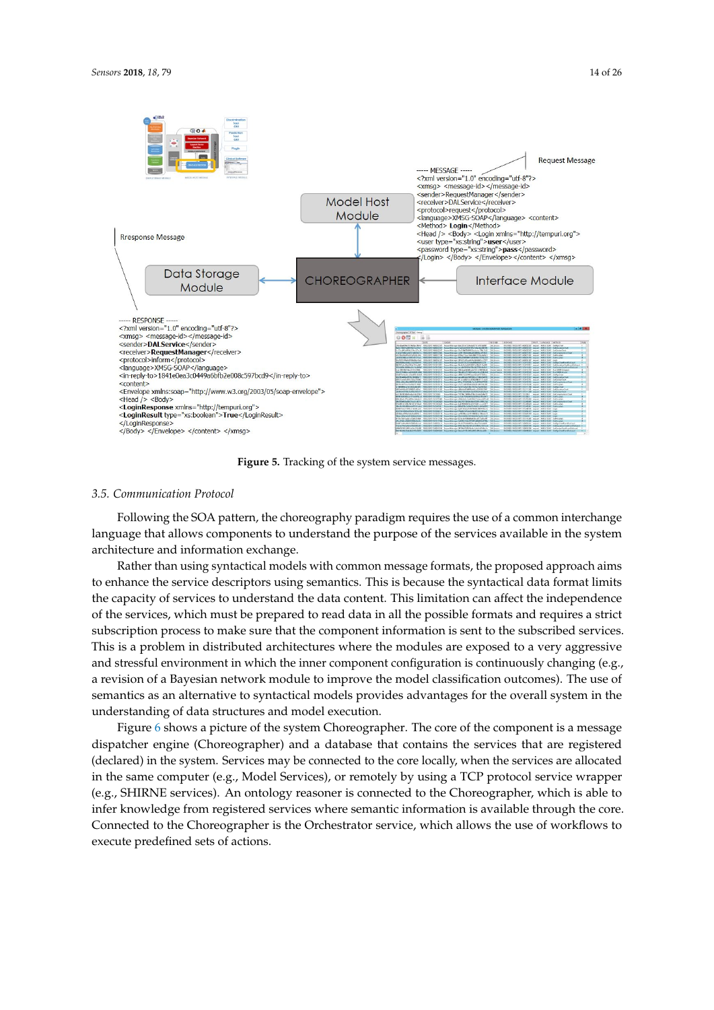<span id="page-13-0"></span>

**Figure 5.** Tracking of the system service messages.

#### *3.5. Communication Protocol*

Following the SOA pattern, the choreography paradigm requires the use of a common interchange language that allows components to understand the purpose of the services available in the system architecture and information exchange.

Rather than using syntactical models with common message formats, the proposed approach aims to enhance the service descriptors using semantics. This is because the syntactical data format limits the capacity of services to understand the data content. This limitation can affect the independence of the services, which must be prepared to read data in all the possible formats and requires a strict subscription process to make sure that the component information is sent to the subscribed services. This is a problem in distributed architectures where the modules are exposed to a very aggressive and stressful environment in which the inner component configuration is continuously changing (e.g., a revision of a Bayesian network module to improve the model classification outcomes). The use of semantics as an alternative to syntactical models provides advantages for the overall system in the understanding of data structures and model execution.

Figure [6](#page-14-0) shows a picture of the system Choreographer. The core of the component is a message dispatcher engine (Choreographer) and a database that contains the services that are registered (declared) in the system. Services may be connected to the core locally, when the services are allocated in the same computer (e.g., Model Services), or remotely by using a TCP protocol service wrapper (e.g., SHIRNE services). An ontology reasoner is connected to the Choreographer, which is able to infer knowledge from registered services where semantic information is available through the core. Connected to the Choreographer is the Orchestrator service, which allows the use of workflows to execute predefined sets of actions.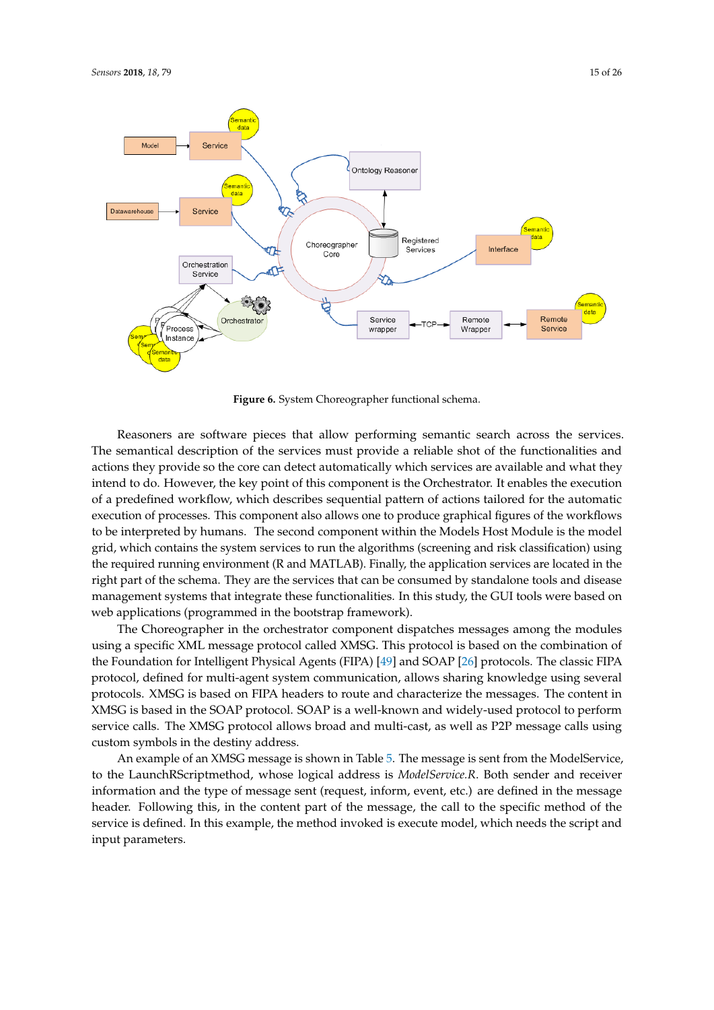<span id="page-14-0"></span>

**Figure 6.** System Choreographer functional schema.

Reasoners are software pieces that allow performing semantic search across the services. The semantical description of the services must provide a reliable shot of the functionalities and actions they provide so the core can detect automatically which services are available and what they intend to do. However, the key point of this component is the Orchestrator. It enables the execution of a predefined workflow, which describes sequential pattern of actions tailored for the automatic execution of processes. This component also allows one to produce graphical figures of the workflows to be interpreted by humans. The second component within the Models Host Module is the model grid, which contains the system services to run the algorithms (screening and risk classification) using the required running environment (R and MATLAB). Finally, the application services are located in the right part of the schema. They are the services that can be consumed by standalone tools and disease management systems that integrate these functionalities. In this study, the GUI tools were based on web applications (programmed in the bootstrap framework).

The Choreographer in the orchestrator component dispatches messages among the modules using a specific XML message protocol called XMSG. This protocol is based on the combination of the Foundation for Intelligent Physical Agents (FIPA) [\[49\]](#page-25-9) and SOAP [\[26\]](#page-24-8) protocols. The classic FIPA protocol, defined for multi-agent system communication, allows sharing knowledge using several protocols. XMSG is based on FIPA headers to route and characterize the messages. The content in XMSG is based in the SOAP protocol. SOAP is a well-known and widely-used protocol to perform service calls. The XMSG protocol allows broad and multi-cast, as well as P2P message calls using custom symbols in the destiny address.

An example of an XMSG message is shown in Table [5.](#page-15-0) The message is sent from the ModelService, to the LaunchRScriptmethod, whose logical address is *ModelService.R*. Both sender and receiver information and the type of message sent (request, inform, event, etc.) are defined in the message header. Following this, in the content part of the message, the call to the specific method of the service is defined. In this example, the method invoked is execute model, which needs the script and input parameters.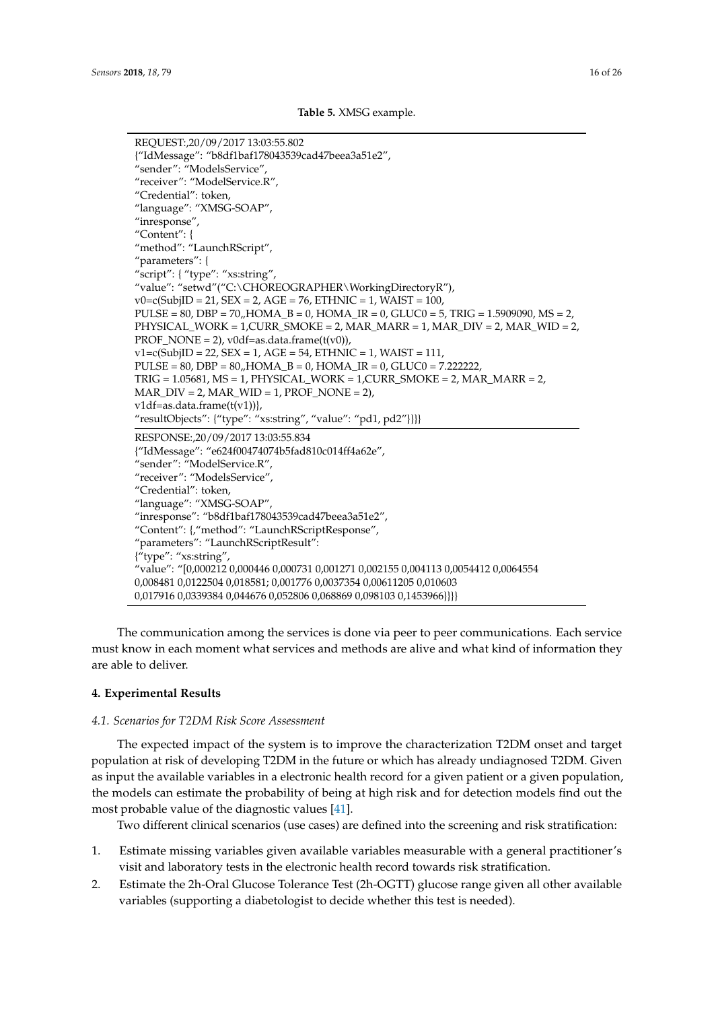```
Table 5. XMSG example.
```

```
REQUEST:,20/09/2017 13:03:55.802
{"IdMessage": "b8df1baf178043539cad47beea3a51e2",
"sender": "ModelsService",
"receiver": "ModelService.R",
"Credential": token,
"language": "XMSG-SOAP",
"inresponse",
"Content": {
"method": "LaunchRScript",
"parameters": {
"script": { "type": "xs:string",
"value": "setwd"("C:\CHOREOGRAPHER\WorkingDirectoryR"),
v0 = c(SubjID = 21, SEX = 2, AGE = 76, ETHNIC = 1, WAIST = 100,PULSE = 80, DBP = 70, HOMA B = 0, HOMA IR = 0, GLUC0 = 5, TRIG = 1.5909090, MS = 2,
PHYSICAL_WORK = 1,CURR_SMOKE = 2, MAR_MARR = 1, MAR_DIV = 2, MAR_WID = 2,
PROF NONE = 2), v0df=as.data.frame(t(v0)),
v1 = c(SubjID = 22, SEX = 1, AGE = 54, ETHNIC = 1, WAIST = 111,PULSE = 80, DBP = 80, HOMA_B = 0, HOMA_R = 0, GLUC0 = 7.222222,
TRIG = 1.05681, MS = 1, PHYSICAL_WORK = 1, CURR_SMOKE = 2, MAR_MARR = 2,MAR_DIV = 2, MAR_WID = 1, PROF_NONE = 2v1df = as.data.frame(t(v1)),
"resultObjects": {"type": "xs:string", "value": "pd1, pd2"}}}}
RESPONSE:,20/09/2017 13:03:55.834
{"IdMessage": "e624f00474074b5fad810c014ff4a62e",
"sender": "ModelService.R",
"receiver": "ModelsService",
"Credential": token,
"language": "XMSG-SOAP",
"inresponse": "b8df1baf178043539cad47beea3a51e2",
"Content": {,"method": "LaunchRScriptResponse",
"parameters": "LaunchRScriptResult":
{"type": "xs:string",
"value": "[0,000212 0,000446 0,000731 0,001271 0,002155 0,004113 0,0054412 0,0064554
0,008481 0,0122504 0,018581; 0,001776 0,0037354 0,00611205 0,010603
0,017916 0,0339384 0,044676 0,052806 0,068869 0,098103 0,1453966}}}}
```
The communication among the services is done via peer to peer communications. Each service must know in each moment what services and methods are alive and what kind of information they are able to deliver.

#### **4. Experimental Results**

#### <span id="page-15-1"></span>*4.1. Scenarios for T2DM Risk Score Assessment*

The expected impact of the system is to improve the characterization T2DM onset and target population at risk of developing T2DM in the future or which has already undiagnosed T2DM. Given as input the available variables in a electronic health record for a given patient or a given population, the models can estimate the probability of being at high risk and for detection models find out the most probable value of the diagnostic values [\[41\]](#page-25-1).

Two different clinical scenarios (use cases) are defined into the screening and risk stratification:

- 1. Estimate missing variables given available variables measurable with a general practitioner's visit and laboratory tests in the electronic health record towards risk stratification.
- 2. Estimate the 2h-Oral Glucose Tolerance Test (2h-OGTT) glucose range given all other available variables (supporting a diabetologist to decide whether this test is needed).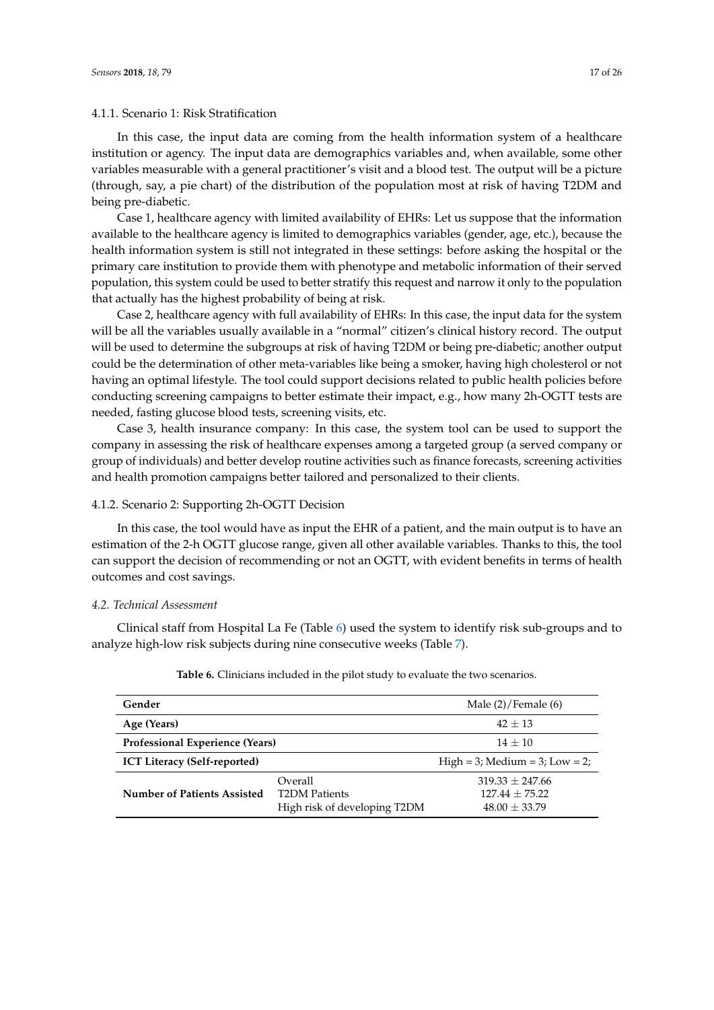# 4.1.1. Scenario 1: Risk Stratification

In this case, the input data are coming from the health information system of a healthcare institution or agency. The input data are demographics variables and, when available, some other variables measurable with a general practitioner's visit and a blood test. The output will be a picture (through, say, a pie chart) of the distribution of the population most at risk of having T2DM and being pre-diabetic.

Case 1, healthcare agency with limited availability of EHRs: Let us suppose that the information available to the healthcare agency is limited to demographics variables (gender, age, etc.), because the health information system is still not integrated in these settings: before asking the hospital or the primary care institution to provide them with phenotype and metabolic information of their served population, this system could be used to better stratify this request and narrow it only to the population that actually has the highest probability of being at risk.

Case 2, healthcare agency with full availability of EHRs: In this case, the input data for the system will be all the variables usually available in a "normal" citizen's clinical history record. The output will be used to determine the subgroups at risk of having T2DM or being pre-diabetic; another output could be the determination of other meta-variables like being a smoker, having high cholesterol or not having an optimal lifestyle. The tool could support decisions related to public health policies before conducting screening campaigns to better estimate their impact, e.g., how many 2h-OGTT tests are needed, fasting glucose blood tests, screening visits, etc.

Case 3, health insurance company: In this case, the system tool can be used to support the company in assessing the risk of healthcare expenses among a targeted group (a served company or group of individuals) and better develop routine activities such as finance forecasts, screening activities and health promotion campaigns better tailored and personalized to their clients.

# 4.1.2. Scenario 2: Supporting 2h-OGTT Decision

In this case, the tool would have as input the EHR of a patient, and the main output is to have an estimation of the 2-h OGTT glucose range, given all other available variables. Thanks to this, the tool can support the decision of recommending or not an OGTT, with evident benefits in terms of health outcomes and cost savings.

# *4.2. Technical Assessment*

<span id="page-16-0"></span>Clinical staff from Hospital La Fe (Table [6\)](#page-16-0) used the system to identify risk sub-groups and to analyze high-low risk subjects during nine consecutive weeks (Table [7\)](#page-17-0).

| Gender                              | Male $(2)/$ Female $(6)$                                        |                                                          |
|-------------------------------------|-----------------------------------------------------------------|----------------------------------------------------------|
| Age (Years)                         | $42 + 13$                                                       |                                                          |
| Professional Experience (Years)     | $14 + 10$                                                       |                                                          |
| <b>ICT Literacy (Self-reported)</b> |                                                                 | High = 3; Medium = 3; Low = 2;                           |
| <b>Number of Patients Assisted</b>  | Overall<br><b>T2DM Patients</b><br>High risk of developing T2DM | $319.33 + 247.66$<br>$127.44 + 75.22$<br>$48.00 + 33.79$ |

**Table 6.** Clinicians included in the pilot study to evaluate the two scenarios.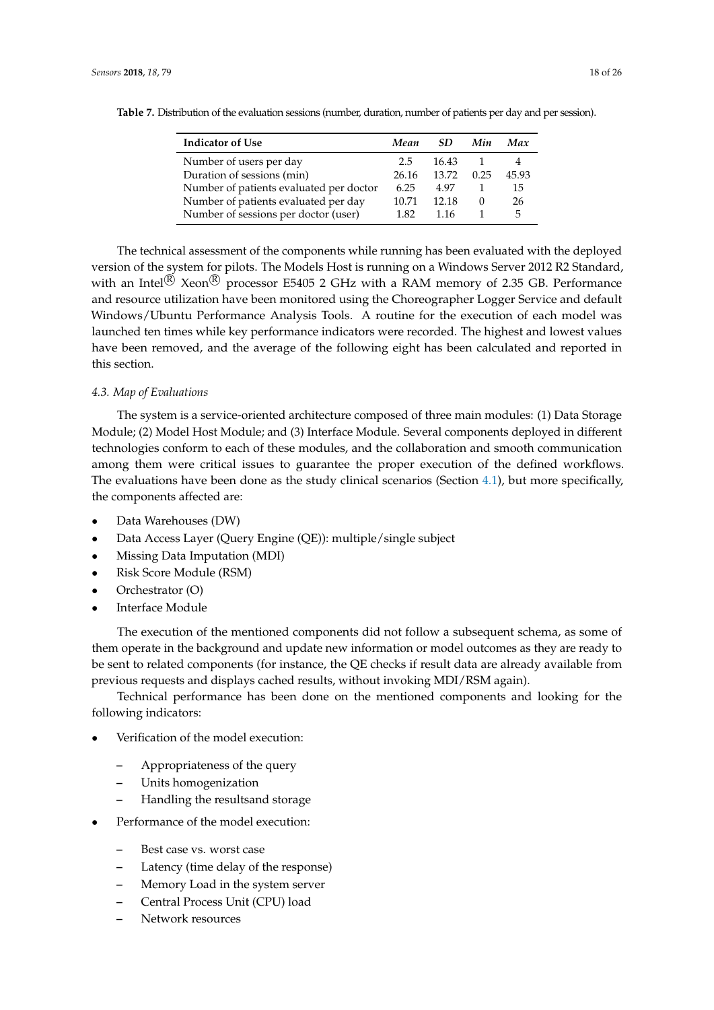| <b>Indicator of Use</b>                 | Mean  | SD.   | Min    | Max   |
|-----------------------------------------|-------|-------|--------|-------|
| Number of users per day                 | 2.5   | 16.43 |        |       |
| Duration of sessions (min)              | 26.16 | 13.72 | 0.25   | 45.93 |
| Number of patients evaluated per doctor | 6.25  | 4.97  |        | 15    |
| Number of patients evaluated per day    | 10.71 | 12.18 | $\cup$ | 26    |
| Number of sessions per doctor (user)    | 1.82  | 1.16  |        | 5     |

<span id="page-17-0"></span>**Table 7.** Distribution of the evaluation sessions (number, duration, number of patients per day and per session).

The technical assessment of the components while running has been evaluated with the deployed version of the system for pilots. The Models Host is running on a Windows Server 2012 R2 Standard, with an Intel $\overline{R}$  Xeon $\overline{R}$  processor E5405 2 GHz with a RAM memory of 2.35 GB. Performance and resource utilization have been monitored using the Choreographer Logger Service and default Windows/Ubuntu Performance Analysis Tools. A routine for the execution of each model was launched ten times while key performance indicators were recorded. The highest and lowest values have been removed, and the average of the following eight has been calculated and reported in this section.

# *4.3. Map of Evaluations*

The system is a service-oriented architecture composed of three main modules: (1) Data Storage Module; (2) Model Host Module; and (3) Interface Module. Several components deployed in different technologies conform to each of these modules, and the collaboration and smooth communication among them were critical issues to guarantee the proper execution of the defined workflows. The evaluations have been done as the study clinical scenarios (Section [4.1\)](#page-15-1), but more specifically, the components affected are:

- Data Warehouses (DW)
- Data Access Layer (Query Engine (QE)): multiple/single subject
- Missing Data Imputation (MDI)
- Risk Score Module (RSM)
- Orchestrator (O)
- Interface Module

The execution of the mentioned components did not follow a subsequent schema, as some of them operate in the background and update new information or model outcomes as they are ready to be sent to related components (for instance, the QE checks if result data are already available from previous requests and displays cached results, without invoking MDI/RSM again).

Technical performance has been done on the mentioned components and looking for the following indicators:

- Verification of the model execution:
	- **–** Appropriateness of the query
	- **–** Units homogenization
	- **–** Handling the resultsand storage
- Performance of the model execution:
	- **–** Best case vs. worst case
	- **–** Latency (time delay of the response)
	- **–** Memory Load in the system server
	- **–** Central Process Unit (CPU) load
	- **–** Network resources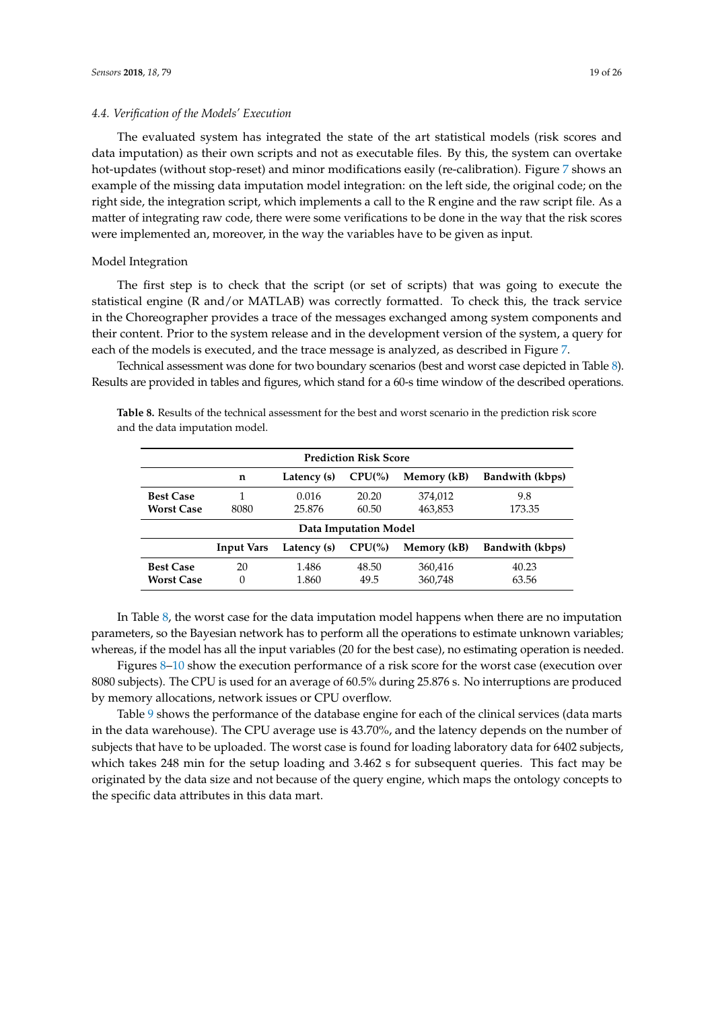# *4.4. Verification of the Models' Execution*

The evaluated system has integrated the state of the art statistical models (risk scores and data imputation) as their own scripts and not as executable files. By this, the system can overtake hot-updates (without stop-reset) and minor modifications easily (re-calibration). Figure [7](#page-19-0) shows an example of the missing data imputation model integration: on the left side, the original code; on the right side, the integration script, which implements a call to the R engine and the raw script file. As a matter of integrating raw code, there were some verifications to be done in the way that the risk scores were implemented an, moreover, in the way the variables have to be given as input.

#### Model Integration

The first step is to check that the script (or set of scripts) that was going to execute the statistical engine (R and/or MATLAB) was correctly formatted. To check this, the track service in the Choreographer provides a trace of the messages exchanged among system components and their content. Prior to the system release and in the development version of the system, a query for each of the models is executed, and the trace message is analyzed, as described in Figure [7.](#page-19-0)

Technical assessment was done for two boundary scenarios (best and worst case depicted in Table [8\)](#page-18-0). Results are provided in tables and figures, which stand for a 60-s time window of the described operations.

<span id="page-18-0"></span>**Table 8.** Results of the technical assessment for the best and worst scenario in the prediction risk score and the data imputation model.

| <b>Prediction Risk Score</b>          |                                                                               |                 |                |                    |                 |  |
|---------------------------------------|-------------------------------------------------------------------------------|-----------------|----------------|--------------------|-----------------|--|
|                                       | n                                                                             | Latency (s)     | $CPU$ %)       | Memory (kB)        | Bandwith (kbps) |  |
| <b>Best Case</b><br><b>Worst Case</b> | 8080                                                                          | 0.016<br>25.876 | 20.20<br>60.50 | 374,012<br>463,853 | 9.8<br>173.35   |  |
|                                       | Data Imputation Model                                                         |                 |                |                    |                 |  |
|                                       | $CPU\%$<br>Bandwith (kbps)<br>Latency (s)<br>Memory (kB)<br><b>Input Vars</b> |                 |                |                    |                 |  |
| <b>Best Case</b><br><b>Worst Case</b> | 20<br>0                                                                       | 1.486<br>1.860  | 48.50<br>49.5  | 360,416<br>360,748 | 40.23<br>63.56  |  |

In Table [8,](#page-18-0) the worst case for the data imputation model happens when there are no imputation parameters, so the Bayesian network has to perform all the operations to estimate unknown variables; whereas, if the model has all the input variables (20 for the best case), no estimating operation is needed.

Figures [8–](#page-20-0)[10](#page-20-1) show the execution performance of a risk score for the worst case (execution over 8080 subjects). The CPU is used for an average of 60.5% during 25.876 s. No interruptions are produced by memory allocations, network issues or CPU overflow.

Table [9](#page-19-1) shows the performance of the database engine for each of the clinical services (data marts in the data warehouse). The CPU average use is 43.70%, and the latency depends on the number of subjects that have to be uploaded. The worst case is found for loading laboratory data for 6402 subjects, which takes 248 min for the setup loading and 3.462 s for subsequent queries. This fact may be originated by the data size and not because of the query engine, which maps the ontology concepts to the specific data attributes in this data mart.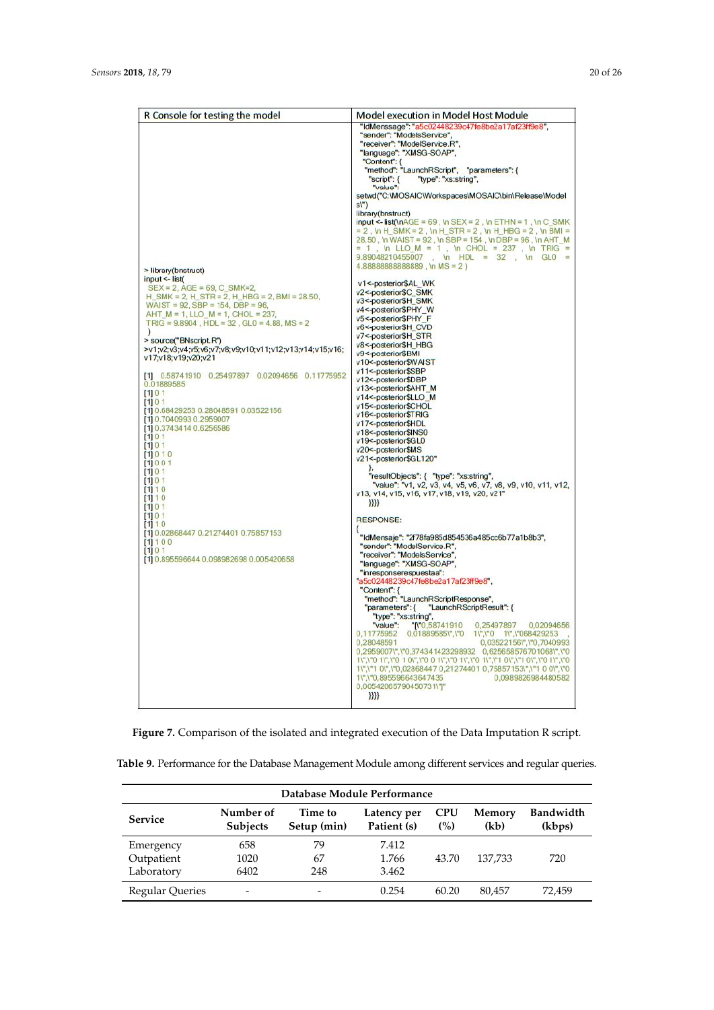<span id="page-19-0"></span>

| R Console for testing the model                                                                                                                                                                                                                                                                                                                                                                                                                                                                                                                                                                                                                                                                                                                                                                                                       | <b>Model execution in Model Host Module</b>                                                                                                                                                                                                                                                                                                                                                                                                                                                                                                                                                                                                                                                                                                                                                                                                                                                                                                                                                                                                                                                                                                                                                                                                                                                                                                                                                                                                                                                                                                                                                                                                                                                                                                                                                                                                                                                                                                                                                                                                                                                                                                                                                                              |
|---------------------------------------------------------------------------------------------------------------------------------------------------------------------------------------------------------------------------------------------------------------------------------------------------------------------------------------------------------------------------------------------------------------------------------------------------------------------------------------------------------------------------------------------------------------------------------------------------------------------------------------------------------------------------------------------------------------------------------------------------------------------------------------------------------------------------------------|--------------------------------------------------------------------------------------------------------------------------------------------------------------------------------------------------------------------------------------------------------------------------------------------------------------------------------------------------------------------------------------------------------------------------------------------------------------------------------------------------------------------------------------------------------------------------------------------------------------------------------------------------------------------------------------------------------------------------------------------------------------------------------------------------------------------------------------------------------------------------------------------------------------------------------------------------------------------------------------------------------------------------------------------------------------------------------------------------------------------------------------------------------------------------------------------------------------------------------------------------------------------------------------------------------------------------------------------------------------------------------------------------------------------------------------------------------------------------------------------------------------------------------------------------------------------------------------------------------------------------------------------------------------------------------------------------------------------------------------------------------------------------------------------------------------------------------------------------------------------------------------------------------------------------------------------------------------------------------------------------------------------------------------------------------------------------------------------------------------------------------------------------------------------------------------------------------------------------|
| > library(bnstruct)<br>input <- list(<br>$SEX = 2$ , $AGE = 69$ , C $SMK = 2$ ,<br>H SMK = 2, H STR = 2, H HBG = 2, BMI = 28.50,<br>WAIST = $92$ , SBP = 154, DBP = $96$ ,<br>AHT $M = 1$ , LLO $M = 1$ , CHOL = 237,<br>TRIG = $9.8904$ , HDL = $32$ , GL0 = $4.88$ , MS = 2<br>$\mathcal{L}$<br>> source("BNscript.R")<br>>v1;v2;v3;v4;v5;v6;v7;v8;v9;v10;v11;v12;v13;v14;v15;v16;<br>v17;v18;v19;v20;v21<br>[1] 0.58741910 0.25497897 0.02094656 0.11775952<br>0.01889585<br>[1] 0 1<br>[1] 0 1<br>[1] 0.68429253 0.28048591 0.03522156<br>[1] 0.7040993 0.2959007<br>[1] 0.3743414 0.6256586<br>[1] 0 1<br>[1] 0 1<br>[1] 0 1 0<br>[1] 0 0 1<br>[1] 0 1<br>[1] 0 1<br>[1] 1 0<br>[1] 1 0<br>[1] 0 1<br>1101<br>[1] 1 0<br>[1] 0.02868447 0.21274401 0.75857153<br>[1] 1 0 0<br>[1] 0 1<br>[1] 0.895596644 0.098982698 0.005420658 | "IdMenssage": "a5c02448239c47fe8be2a17af23ff9e8",<br>"sender": "ModelsService",<br>"receiver": "ModelService.R",<br>"language": "XMSG-SOAP",<br>"Content": {<br>"method": "LaunchRScript", "parameters": {<br>"type": "xs:string",<br>"script": {<br>"value":<br>setwd("C:\MOSAIC\Workspaces\MOSAIC\bin\Release\Model<br>$s$ <sup>"</sup> )<br>library(bnstruct)<br>input <- list(\nAGE = 69, \n SEX = 2, \n ETHN = 1, \n C_SMK<br>$= 2$ , \n H_SMK = 2, \n H_STR = 2, \n H_HBG = 2, \n BMI =<br>28.50, \n WAIST = 92, \n SBP = 154, \n DBP = 96, \n AHT_M<br>= 1, \n LLO_M = 1, \n CHOL = 237, \n TRIG =<br>$9.89048210455007$ , \m HDL = 32, \m GL0 =<br>4.88888888888889, \n MS = 2)<br>v1<-posterior\$AL_WK<br>v2<-posterior\$C_SMK<br>v3<-posterior\$H_SMK<br>v4<-posterior\$PHY_W<br>v5<-posterior\$PHY F<br>v6<-posterior\$H_CVD<br>v7<-posterior\$H STR<br>v8<-posterior\$H HBG<br>v9<-posterior\$BMI<br>v10<-posterior\$WAIST<br>v11<-posterior\$SBP<br>v12<-posterior\$DBP<br>v13<-posterior\$AHT_M<br>v14<-posterior\$LLO_M<br>v15<-posterior\$CHOL<br>v16<-posterior\$TRIG<br>v17<-posterior\$HDL<br>v18<-posterior\$INS0<br>v19<-posterior\$GL0<br>v20<-posterior\$MS<br>v21<-posterior\$GL120"<br>"resultObjects": { "type": "xs:string",<br>"value": "v1, v2, v3, v4, v5, v6, v7, v8, v9, v10, v11, v12,<br>v13, v14, v15, v16, v17, v18, v19, v20, v21"<br>Ж.<br><b>RESPONSE:</b><br>₹<br>"IdMensaje": "2f78fa985d854536a485cc6b77a1b8b3",<br>"sender": "ModelService.R",<br>"receiver": "ModelsService",<br>"language": "XMSG-SOAP",<br>"inresponserespuestaa":<br>"a5c02448239c47fe8be2a17af23ff9e8",<br>"Content": {<br>"method": "LaunchRScriptResponse",<br>"LaunchRScriptResult": {<br>"parameters": {<br>"type": "xs:string",<br>$^{\circ}$ N°0,58741910<br>0,25497897<br>0.02094656<br>"value":<br>0,11775952 0,01889585\",\"0 1\",\"0 1\",\"068429253<br>0,03522156\",\"0,7040993<br>0,28048591<br>0,2959007\",\"0,374341423298932 0,625658576701068\",\"0<br>1\",\"0 1\",\"0 1 0\",\"0 0 1\",\"0 1\",\"0 1\",\"1 0\",\"1 0\",\"0 1\",\"0<br>1\",\"1 0\",\"0,02868447 0,21274401 0,75857153\",\"1 0 0\",\"0<br>1\",\"0,895596643647435<br>0.0989826984480582<br>0,00542065790450731\"]"<br>}}}} |
|                                                                                                                                                                                                                                                                                                                                                                                                                                                                                                                                                                                                                                                                                                                                                                                                                                       |                                                                                                                                                                                                                                                                                                                                                                                                                                                                                                                                                                                                                                                                                                                                                                                                                                                                                                                                                                                                                                                                                                                                                                                                                                                                                                                                                                                                                                                                                                                                                                                                                                                                                                                                                                                                                                                                                                                                                                                                                                                                                                                                                                                                                          |

**Figure 7.** Comparison of the isolated and integrated execution of the Data Imputation R script.

<span id="page-19-1"></span>

| Table 9. Performance for the Database Management Module among different services and regular queries. |  |  |  |
|-------------------------------------------------------------------------------------------------------|--|--|--|
|                                                                                                       |  |  |  |

| Database Module Performance |                              |                        |                            |                   |                |                            |
|-----------------------------|------------------------------|------------------------|----------------------------|-------------------|----------------|----------------------------|
| <b>Service</b>              | Number of<br><b>Subjects</b> | Time to<br>Setup (min) | Latency per<br>Patient (s) | <b>CPU</b><br>(%) | Memory<br>(kb) | <b>Bandwidth</b><br>(kbps) |
| Emergency                   | 658                          | 79                     | 7.412                      |                   |                |                            |
| Outpatient                  | 1020                         | 67                     | 1.766                      | 43.70             | 137.733        | 720                        |
| Laboratory                  | 6402                         | 248                    | 3.462                      |                   |                |                            |
| <b>Regular Queries</b>      |                              |                        | 0.254                      | 60.20             | 80.457         | 72.459                     |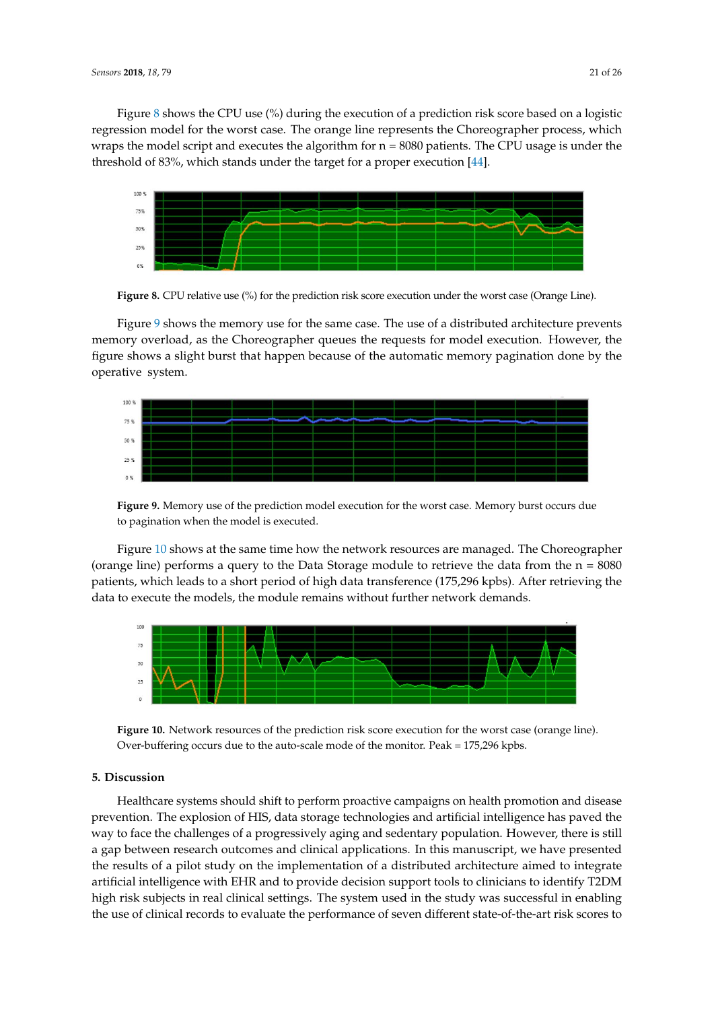Figure [8](#page-20-0) shows the CPU use (%) during the execution of a prediction risk score based on a logistic regression model for the worst case. The orange line represents the Choreographer process, which wraps the model script and executes the algorithm for  $n = 8080$  patients. The CPU usage is under the threshold of 83%, which stands under the target for a proper execution [\[44\]](#page-25-4).

<span id="page-20-0"></span>

**Figure 8.** CPU relative use (%) for the prediction risk score execution under the worst case (Orange Line).

Figure [9](#page-20-2) shows the memory use for the same case. The use of a distributed architecture prevents memory overload, as the Choreographer queues the requests for model execution. However, the figure shows a slight burst that happen because of the automatic memory pagination done by the operative system.

<span id="page-20-2"></span>

**Figure 9.** Memory use of the prediction model execution for the worst case. Memory burst occurs due to pagination when the model is executed.

Figure [10](#page-20-1) shows at the same time how the network resources are managed. The Choreographer (orange line) performs a query to the Data Storage module to retrieve the data from the  $n = 8080$ patients, which leads to a short period of high data transference (175,296 kpbs). After retrieving the data to execute the models, the module remains without further network demands.

<span id="page-20-1"></span>

**Figure 10.** Network resources of the prediction risk score execution for the worst case (orange line). Over-buffering occurs due to the auto-scale mode of the monitor. Peak = 175,296 kpbs.

# **5. Discussion**

Healthcare systems should shift to perform proactive campaigns on health promotion and disease prevention. The explosion of HIS, data storage technologies and artificial intelligence has paved the way to face the challenges of a progressively aging and sedentary population. However, there is still a gap between research outcomes and clinical applications. In this manuscript, we have presented the results of a pilot study on the implementation of a distributed architecture aimed to integrate artificial intelligence with EHR and to provide decision support tools to clinicians to identify T2DM high risk subjects in real clinical settings. The system used in the study was successful in enabling the use of clinical records to evaluate the performance of seven different state-of-the-art risk scores to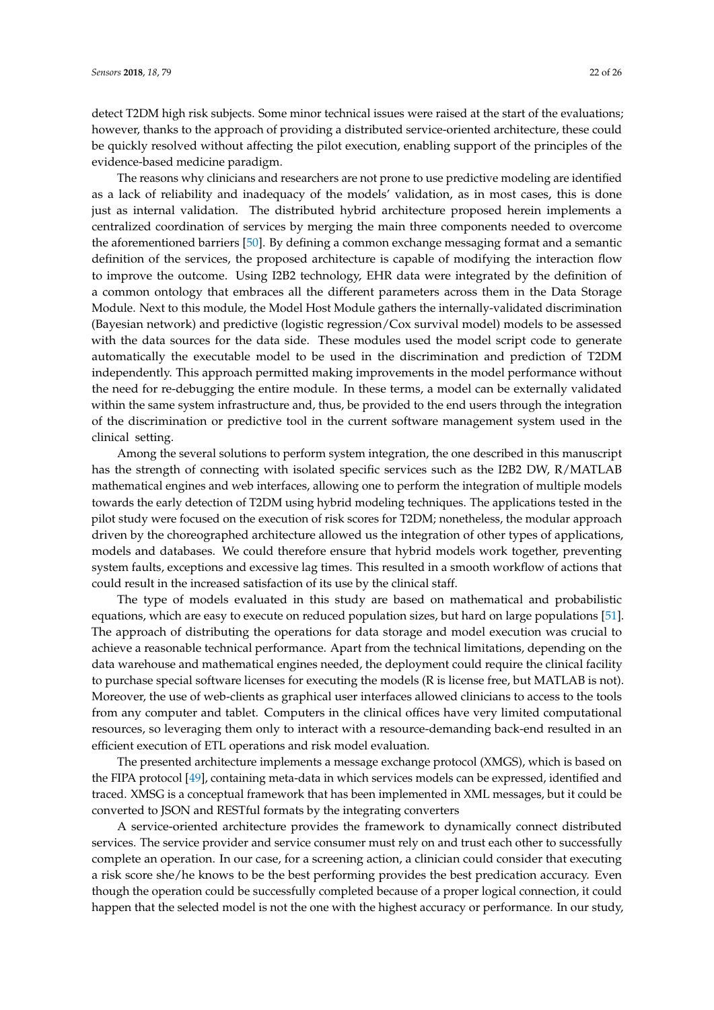detect T2DM high risk subjects. Some minor technical issues were raised at the start of the evaluations; however, thanks to the approach of providing a distributed service-oriented architecture, these could be quickly resolved without affecting the pilot execution, enabling support of the principles of the evidence-based medicine paradigm.

The reasons why clinicians and researchers are not prone to use predictive modeling are identified as a lack of reliability and inadequacy of the models' validation, as in most cases, this is done just as internal validation. The distributed hybrid architecture proposed herein implements a centralized coordination of services by merging the main three components needed to overcome the aforementioned barriers [\[50\]](#page-25-10). By defining a common exchange messaging format and a semantic definition of the services, the proposed architecture is capable of modifying the interaction flow to improve the outcome. Using I2B2 technology, EHR data were integrated by the definition of a common ontology that embraces all the different parameters across them in the Data Storage Module. Next to this module, the Model Host Module gathers the internally-validated discrimination (Bayesian network) and predictive (logistic regression/Cox survival model) models to be assessed with the data sources for the data side. These modules used the model script code to generate automatically the executable model to be used in the discrimination and prediction of T2DM independently. This approach permitted making improvements in the model performance without the need for re-debugging the entire module. In these terms, a model can be externally validated within the same system infrastructure and, thus, be provided to the end users through the integration of the discrimination or predictive tool in the current software management system used in the clinical setting.

Among the several solutions to perform system integration, the one described in this manuscript has the strength of connecting with isolated specific services such as the I2B2 DW, R/MATLAB mathematical engines and web interfaces, allowing one to perform the integration of multiple models towards the early detection of T2DM using hybrid modeling techniques. The applications tested in the pilot study were focused on the execution of risk scores for T2DM; nonetheless, the modular approach driven by the choreographed architecture allowed us the integration of other types of applications, models and databases. We could therefore ensure that hybrid models work together, preventing system faults, exceptions and excessive lag times. This resulted in a smooth workflow of actions that could result in the increased satisfaction of its use by the clinical staff.

The type of models evaluated in this study are based on mathematical and probabilistic equations, which are easy to execute on reduced population sizes, but hard on large populations [\[51\]](#page-25-11). The approach of distributing the operations for data storage and model execution was crucial to achieve a reasonable technical performance. Apart from the technical limitations, depending on the data warehouse and mathematical engines needed, the deployment could require the clinical facility to purchase special software licenses for executing the models (R is license free, but MATLAB is not). Moreover, the use of web-clients as graphical user interfaces allowed clinicians to access to the tools from any computer and tablet. Computers in the clinical offices have very limited computational resources, so leveraging them only to interact with a resource-demanding back-end resulted in an efficient execution of ETL operations and risk model evaluation.

The presented architecture implements a message exchange protocol (XMGS), which is based on the FIPA protocol [\[49\]](#page-25-9), containing meta-data in which services models can be expressed, identified and traced. XMSG is a conceptual framework that has been implemented in XML messages, but it could be converted to JSON and RESTful formats by the integrating converters

A service-oriented architecture provides the framework to dynamically connect distributed services. The service provider and service consumer must rely on and trust each other to successfully complete an operation. In our case, for a screening action, a clinician could consider that executing a risk score she/he knows to be the best performing provides the best predication accuracy. Even though the operation could be successfully completed because of a proper logical connection, it could happen that the selected model is not the one with the highest accuracy or performance. In our study,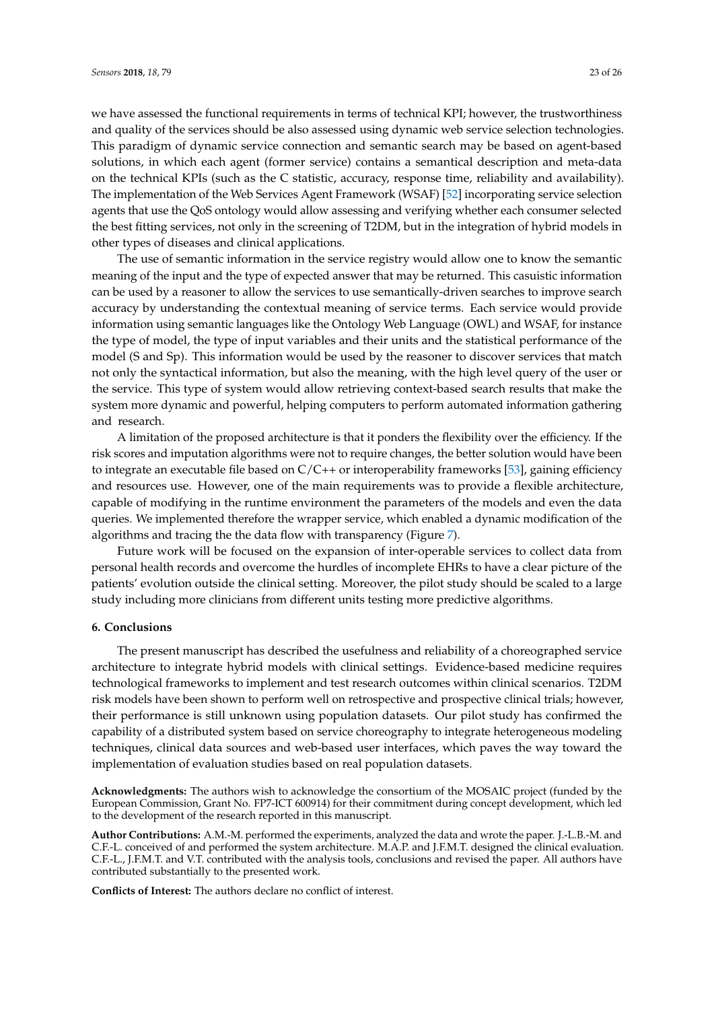we have assessed the functional requirements in terms of technical KPI; however, the trustworthiness and quality of the services should be also assessed using dynamic web service selection technologies. This paradigm of dynamic service connection and semantic search may be based on agent-based solutions, in which each agent (former service) contains a semantical description and meta-data on the technical KPIs (such as the C statistic, accuracy, response time, reliability and availability). The implementation of the Web Services Agent Framework (WSAF) [\[52\]](#page-25-12) incorporating service selection agents that use the QoS ontology would allow assessing and verifying whether each consumer selected the best fitting services, not only in the screening of T2DM, but in the integration of hybrid models in other types of diseases and clinical applications.

The use of semantic information in the service registry would allow one to know the semantic meaning of the input and the type of expected answer that may be returned. This casuistic information can be used by a reasoner to allow the services to use semantically-driven searches to improve search accuracy by understanding the contextual meaning of service terms. Each service would provide information using semantic languages like the Ontology Web Language (OWL) and WSAF, for instance the type of model, the type of input variables and their units and the statistical performance of the model (S and Sp). This information would be used by the reasoner to discover services that match not only the syntactical information, but also the meaning, with the high level query of the user or the service. This type of system would allow retrieving context-based search results that make the system more dynamic and powerful, helping computers to perform automated information gathering and research.

A limitation of the proposed architecture is that it ponders the flexibility over the efficiency. If the risk scores and imputation algorithms were not to require changes, the better solution would have been to integrate an executable file based on  $C/C++$  or interoperability frameworks [\[53\]](#page-25-13), gaining efficiency and resources use. However, one of the main requirements was to provide a flexible architecture, capable of modifying in the runtime environment the parameters of the models and even the data queries. We implemented therefore the wrapper service, which enabled a dynamic modification of the algorithms and tracing the the data flow with transparency (Figure [7\)](#page-19-0).

Future work will be focused on the expansion of inter-operable services to collect data from personal health records and overcome the hurdles of incomplete EHRs to have a clear picture of the patients' evolution outside the clinical setting. Moreover, the pilot study should be scaled to a large study including more clinicians from different units testing more predictive algorithms.

#### **6. Conclusions**

The present manuscript has described the usefulness and reliability of a choreographed service architecture to integrate hybrid models with clinical settings. Evidence-based medicine requires technological frameworks to implement and test research outcomes within clinical scenarios. T2DM risk models have been shown to perform well on retrospective and prospective clinical trials; however, their performance is still unknown using population datasets. Our pilot study has confirmed the capability of a distributed system based on service choreography to integrate heterogeneous modeling techniques, clinical data sources and web-based user interfaces, which paves the way toward the implementation of evaluation studies based on real population datasets.

**Acknowledgments:** The authors wish to acknowledge the consortium of the MOSAIC project (funded by the European Commission, Grant No. FP7-ICT 600914) for their commitment during concept development, which led to the development of the research reported in this manuscript.

**Author Contributions:** A.M.-M. performed the experiments, analyzed the data and wrote the paper. J.-L.B.-M. and C.F.-L. conceived of and performed the system architecture. M.A.P. and J.F.M.T. designed the clinical evaluation. C.F.-L., J.F.M.T. and V.T. contributed with the analysis tools, conclusions and revised the paper. All authors have contributed substantially to the presented work.

**Conflicts of Interest:** The authors declare no conflict of interest.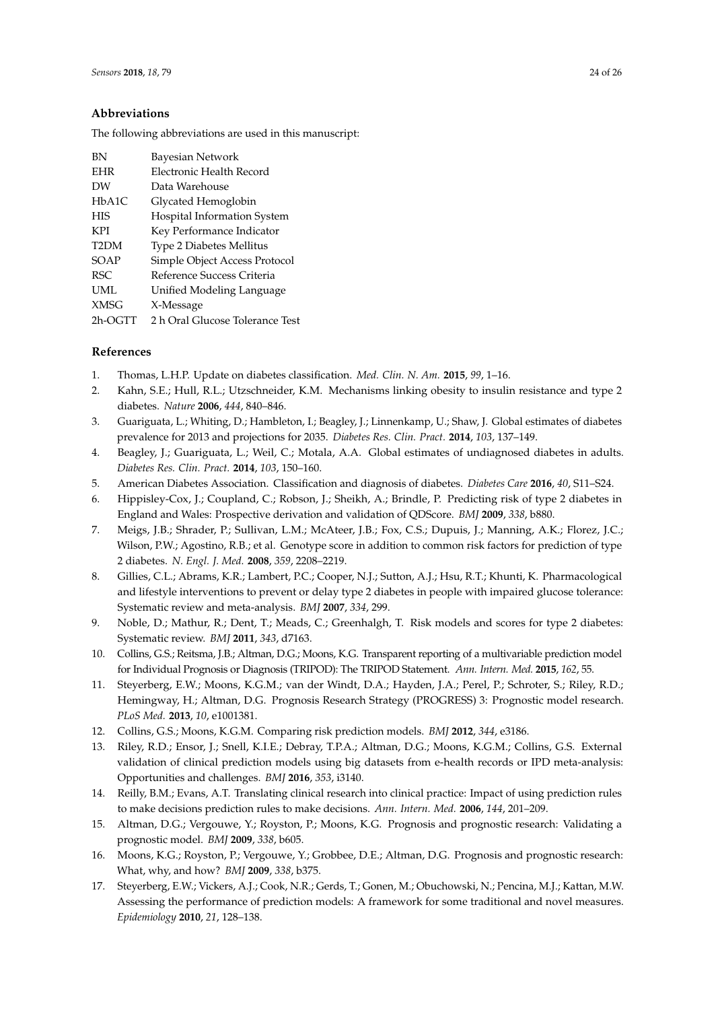# **Abbreviations**

The following abbreviations are used in this manuscript:

| ВN                | <b>Bayesian Network</b>         |
|-------------------|---------------------------------|
| <b>EHR</b>        | Electronic Health Record        |
| DW                | Data Warehouse                  |
| HbA1C             | Glycated Hemoglobin             |
| <b>HIS</b>        | Hospital Information System     |
| <b>KPI</b>        | Key Performance Indicator       |
| T <sub>2</sub> DM | <b>Type 2 Diabetes Mellitus</b> |
| SOAP              | Simple Object Access Protocol   |
| RSC               | Reference Success Criteria      |
| UML               | Unified Modeling Language       |
| <b>XMSG</b>       | X-Message                       |
| 2h-OGTT           | 2 h Oral Glucose Tolerance Test |

# **References**

- <span id="page-23-0"></span>1. Thomas, L.H.P. Update on diabetes classification. *Med. Clin. N. Am.* **2015**, *99*, 1–16.
- <span id="page-23-1"></span>2. Kahn, S.E.; Hull, R.L.; Utzschneider, K.M. Mechanisms linking obesity to insulin resistance and type 2 diabetes. *Nature* **2006**, *444*, 840–846.
- <span id="page-23-2"></span>3. Guariguata, L.; Whiting, D.; Hambleton, I.; Beagley, J.; Linnenkamp, U.; Shaw, J. Global estimates of diabetes prevalence for 2013 and projections for 2035. *Diabetes Res. Clin. Pract.* **2014**, *103*, 137–149.
- <span id="page-23-3"></span>4. Beagley, J.; Guariguata, L.; Weil, C.; Motala, A.A. Global estimates of undiagnosed diabetes in adults. *Diabetes Res. Clin. Pract.* **2014**, *103*, 150–160.
- <span id="page-23-4"></span>5. American Diabetes Association. Classification and diagnosis of diabetes. *Diabetes Care* **2016**, *40*, S11–S24.
- <span id="page-23-5"></span>6. Hippisley-Cox, J.; Coupland, C.; Robson, J.; Sheikh, A.; Brindle, P. Predicting risk of type 2 diabetes in England and Wales: Prospective derivation and validation of QDScore. *BMJ* **2009**, *338*, b880.
- <span id="page-23-6"></span>7. Meigs, J.B.; Shrader, P.; Sullivan, L.M.; McAteer, J.B.; Fox, C.S.; Dupuis, J.; Manning, A.K.; Florez, J.C.; Wilson, P.W.; Agostino, R.B.; et al. Genotype score in addition to common risk factors for prediction of type 2 diabetes. *N. Engl. J. Med.* **2008**, *359*, 2208–2219.
- <span id="page-23-7"></span>8. Gillies, C.L.; Abrams, K.R.; Lambert, P.C.; Cooper, N.J.; Sutton, A.J.; Hsu, R.T.; Khunti, K. Pharmacological and lifestyle interventions to prevent or delay type 2 diabetes in people with impaired glucose tolerance: Systematic review and meta-analysis. *BMJ* **2007**, *334*, 299.
- <span id="page-23-8"></span>9. Noble, D.; Mathur, R.; Dent, T.; Meads, C.; Greenhalgh, T. Risk models and scores for type 2 diabetes: Systematic review. *BMJ* **2011**, *343*, d7163.
- <span id="page-23-9"></span>10. Collins, G.S.; Reitsma, J.B.; Altman, D.G.; Moons, K.G. Transparent reporting of a multivariable prediction model for Individual Prognosis or Diagnosis (TRIPOD): The TRIPOD Statement. *Ann. Intern. Med.* **2015**, *162*, 55.
- <span id="page-23-10"></span>11. Steyerberg, E.W.; Moons, K.G.M.; van der Windt, D.A.; Hayden, J.A.; Perel, P.; Schroter, S.; Riley, R.D.; Hemingway, H.; Altman, D.G. Prognosis Research Strategy (PROGRESS) 3: Prognostic model research. *PLoS Med.* **2013**, *10*, e1001381.
- <span id="page-23-11"></span>12. Collins, G.S.; Moons, K.G.M. Comparing risk prediction models. *BMJ* **2012**, *344*, e3186.
- <span id="page-23-12"></span>13. Riley, R.D.; Ensor, J.; Snell, K.I.E.; Debray, T.P.A.; Altman, D.G.; Moons, K.G.M.; Collins, G.S. External validation of clinical prediction models using big datasets from e-health records or IPD meta-analysis: Opportunities and challenges. *BMJ* **2016**, *353*, i3140.
- <span id="page-23-13"></span>14. Reilly, B.M.; Evans, A.T. Translating clinical research into clinical practice: Impact of using prediction rules to make decisions prediction rules to make decisions. *Ann. Intern. Med.* **2006**, *144*, 201–209.
- <span id="page-23-14"></span>15. Altman, D.G.; Vergouwe, Y.; Royston, P.; Moons, K.G. Prognosis and prognostic research: Validating a prognostic model. *BMJ* **2009**, *338*, b605.
- <span id="page-23-15"></span>16. Moons, K.G.; Royston, P.; Vergouwe, Y.; Grobbee, D.E.; Altman, D.G. Prognosis and prognostic research: What, why, and how? *BMJ* **2009**, *338*, b375.
- <span id="page-23-16"></span>17. Steyerberg, E.W.; Vickers, A.J.; Cook, N.R.; Gerds, T.; Gonen, M.; Obuchowski, N.; Pencina, M.J.; Kattan, M.W. Assessing the performance of prediction models: A framework for some traditional and novel measures. *Epidemiology* **2010**, *21*, 128–138.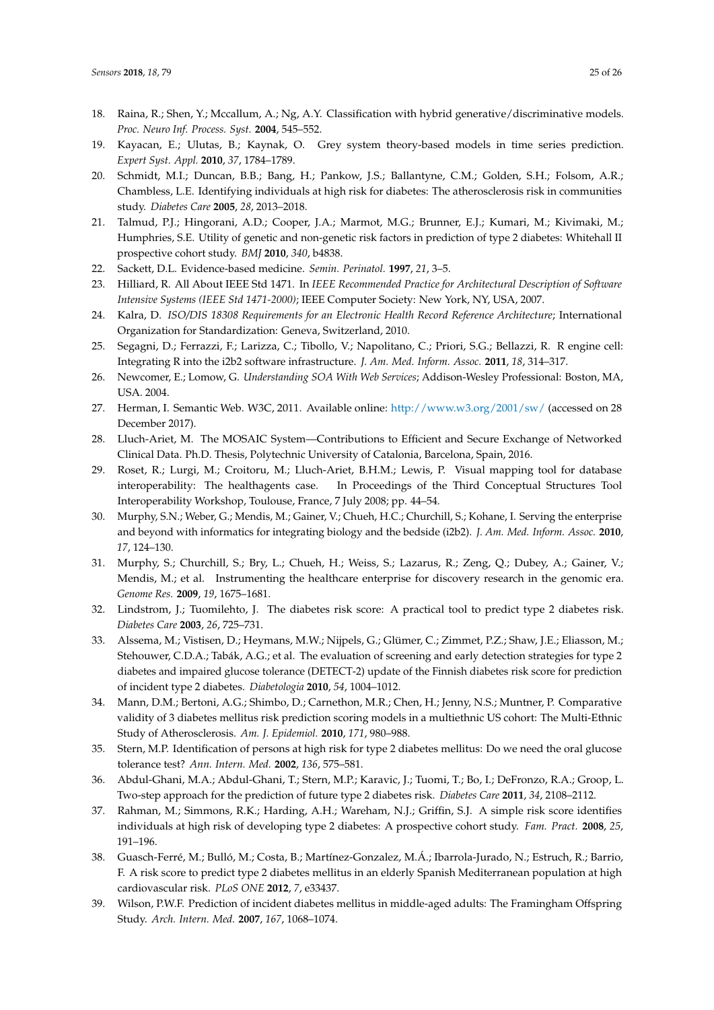- <span id="page-24-0"></span>18. Raina, R.; Shen, Y.; Mccallum, A.; Ng, A.Y. Classification with hybrid generative/discriminative models. *Proc. Neuro Inf. Process. Syst.* **2004**, 545–552.
- <span id="page-24-1"></span>19. Kayacan, E.; Ulutas, B.; Kaynak, O. Grey system theory-based models in time series prediction. *Expert Syst. Appl.* **2010**, *37*, 1784–1789.
- <span id="page-24-2"></span>20. Schmidt, M.I.; Duncan, B.B.; Bang, H.; Pankow, J.S.; Ballantyne, C.M.; Golden, S.H.; Folsom, A.R.; Chambless, L.E. Identifying individuals at high risk for diabetes: The atherosclerosis risk in communities study. *Diabetes Care* **2005**, *28*, 2013–2018.
- <span id="page-24-3"></span>21. Talmud, P.J.; Hingorani, A.D.; Cooper, J.A.; Marmot, M.G.; Brunner, E.J.; Kumari, M.; Kivimaki, M.; Humphries, S.E. Utility of genetic and non-genetic risk factors in prediction of type 2 diabetes: Whitehall II prospective cohort study. *BMJ* **2010**, *340*, b4838.
- <span id="page-24-4"></span>22. Sackett, D.L. Evidence-based medicine. *Semin. Perinatol.* **1997**, *21*, 3–5.
- <span id="page-24-5"></span>23. Hilliard, R. All About IEEE Std 1471. In *IEEE Recommended Practice for Architectural Description of Software Intensive Systems (IEEE Std 1471-2000)*; IEEE Computer Society: New York, NY, USA, 2007.
- <span id="page-24-6"></span>24. Kalra, D. *ISO/DIS 18308 Requirements for an Electronic Health Record Reference Architecture*; International Organization for Standardization: Geneva, Switzerland, 2010.
- <span id="page-24-7"></span>25. Segagni, D.; Ferrazzi, F.; Larizza, C.; Tibollo, V.; Napolitano, C.; Priori, S.G.; Bellazzi, R. R engine cell: Integrating R into the i2b2 software infrastructure. *J. Am. Med. Inform. Assoc.* **2011**, *18*, 314–317.
- <span id="page-24-8"></span>26. Newcomer, E.; Lomow, G. *Understanding SOA With Web Services*; Addison-Wesley Professional: Boston, MA, USA. 2004.
- <span id="page-24-9"></span>27. Herman, I. Semantic Web. W3C, 2011. Available online: <http://www.w3.org/2001/sw/> (accessed on 28 December 2017).
- <span id="page-24-10"></span>28. Lluch-Ariet, M. The MOSAIC System—Contributions to Efficient and Secure Exchange of Networked Clinical Data. Ph.D. Thesis, Polytechnic University of Catalonia, Barcelona, Spain, 2016.
- <span id="page-24-11"></span>29. Roset, R.; Lurgi, M.; Croitoru, M.; Lluch-Ariet, B.H.M.; Lewis, P. Visual mapping tool for database interoperability: The healthagents case. In Proceedings of the Third Conceptual Structures Tool Interoperability Workshop, Toulouse, France, 7 July 2008; pp. 44–54.
- <span id="page-24-12"></span>30. Murphy, S.N.; Weber, G.; Mendis, M.; Gainer, V.; Chueh, H.C.; Churchill, S.; Kohane, I. Serving the enterprise and beyond with informatics for integrating biology and the bedside (i2b2). *J. Am. Med. Inform. Assoc.* **2010**, *17*, 124–130.
- <span id="page-24-13"></span>31. Murphy, S.; Churchill, S.; Bry, L.; Chueh, H.; Weiss, S.; Lazarus, R.; Zeng, Q.; Dubey, A.; Gainer, V.; Mendis, M.; et al. Instrumenting the healthcare enterprise for discovery research in the genomic era. *Genome Res.* **2009**, *19*, 1675–1681.
- <span id="page-24-14"></span>32. Lindstrom, J.; Tuomilehto, J. The diabetes risk score: A practical tool to predict type 2 diabetes risk. *Diabetes Care* **2003**, *26*, 725–731.
- <span id="page-24-15"></span>33. Alssema, M.; Vistisen, D.; Heymans, M.W.; Nijpels, G.; Glümer, C.; Zimmet, P.Z.; Shaw, J.E.; Eliasson, M.; Stehouwer, C.D.A.; Tabák, A.G.; et al. The evaluation of screening and early detection strategies for type 2 diabetes and impaired glucose tolerance (DETECT-2) update of the Finnish diabetes risk score for prediction of incident type 2 diabetes. *Diabetologia* **2010**, *54*, 1004–1012.
- <span id="page-24-16"></span>34. Mann, D.M.; Bertoni, A.G.; Shimbo, D.; Carnethon, M.R.; Chen, H.; Jenny, N.S.; Muntner, P. Comparative validity of 3 diabetes mellitus risk prediction scoring models in a multiethnic US cohort: The Multi-Ethnic Study of Atherosclerosis. *Am. J. Epidemiol.* **2010**, *171*, 980–988.
- <span id="page-24-17"></span>35. Stern, M.P. Identification of persons at high risk for type 2 diabetes mellitus: Do we need the oral glucose tolerance test? *Ann. Intern. Med.* **2002**, *136*, 575–581.
- <span id="page-24-18"></span>36. Abdul-Ghani, M.A.; Abdul-Ghani, T.; Stern, M.P.; Karavic, J.; Tuomi, T.; Bo, I.; DeFronzo, R.A.; Groop, L. Two-step approach for the prediction of future type 2 diabetes risk. *Diabetes Care* **2011**, *34*, 2108–2112.
- <span id="page-24-19"></span>37. Rahman, M.; Simmons, R.K.; Harding, A.H.; Wareham, N.J.; Griffin, S.J. A simple risk score identifies individuals at high risk of developing type 2 diabetes: A prospective cohort study. *Fam. Pract.* **2008**, *25*, 191–196.
- <span id="page-24-20"></span>38. Guasch-Ferré, M.; Bulló, M.; Costa, B.; Martínez-Gonzalez, M.Á.; Ibarrola-Jurado, N.; Estruch, R.; Barrio, F. A risk score to predict type 2 diabetes mellitus in an elderly Spanish Mediterranean population at high cardiovascular risk. *PLoS ONE* **2012**, *7*, e33437.
- <span id="page-24-21"></span>39. Wilson, P.W.F. Prediction of incident diabetes mellitus in middle-aged adults: The Framingham Offspring Study. *Arch. Intern. Med.* **2007**, *167*, 1068–1074.